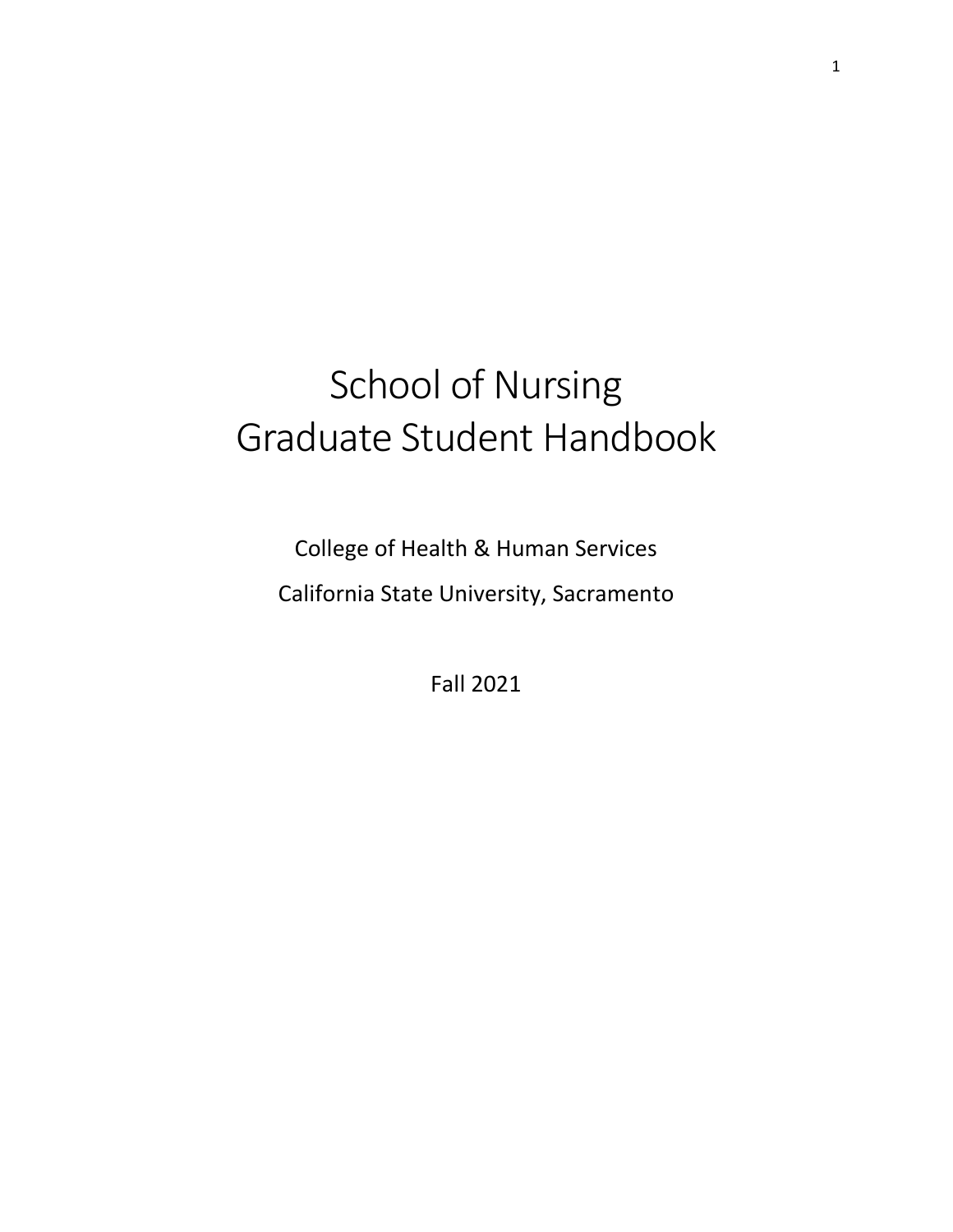# School of Nursing Graduate Student Handbook

College of Health & Human Services California State University, Sacramento

Fall 2021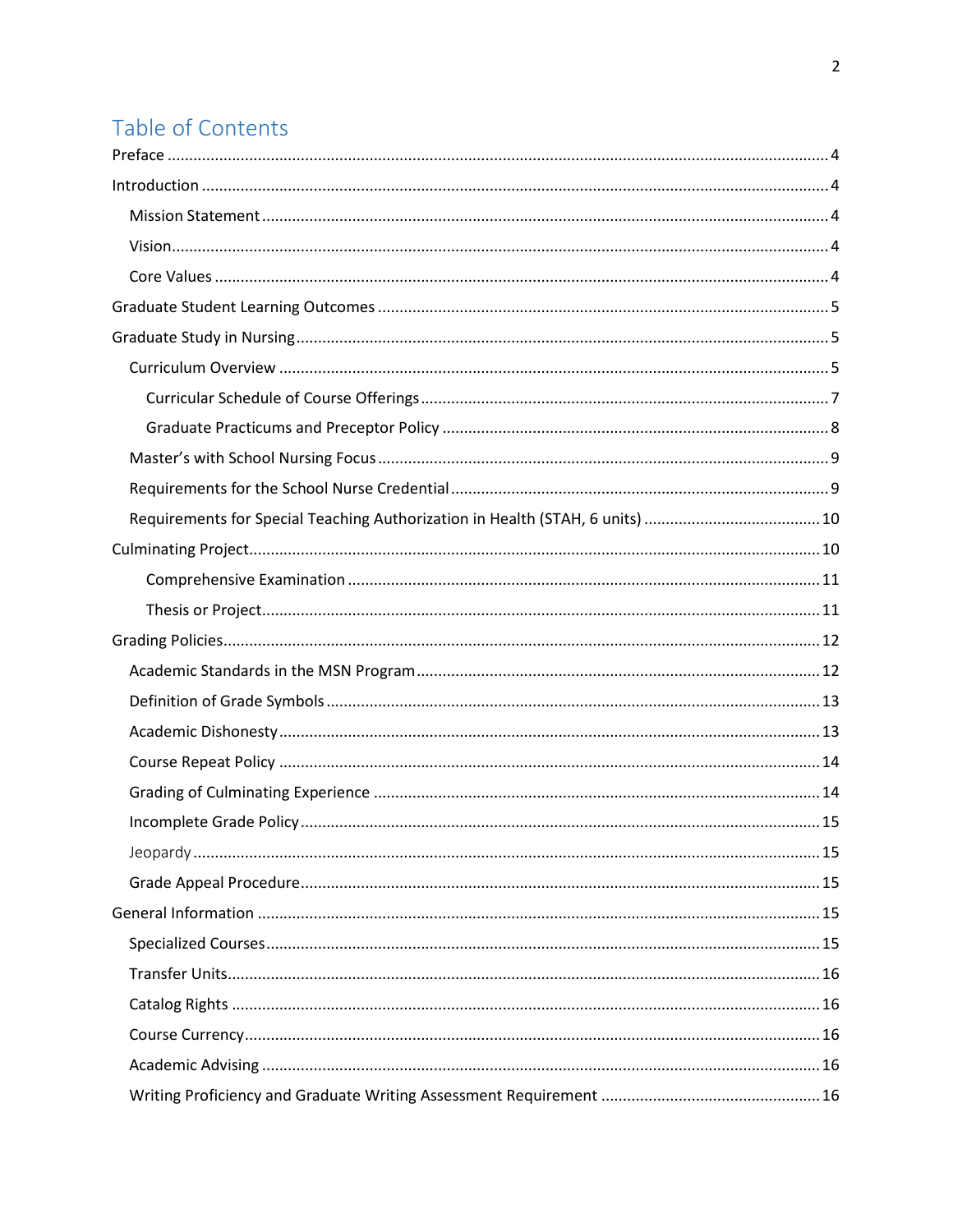## Table of Contents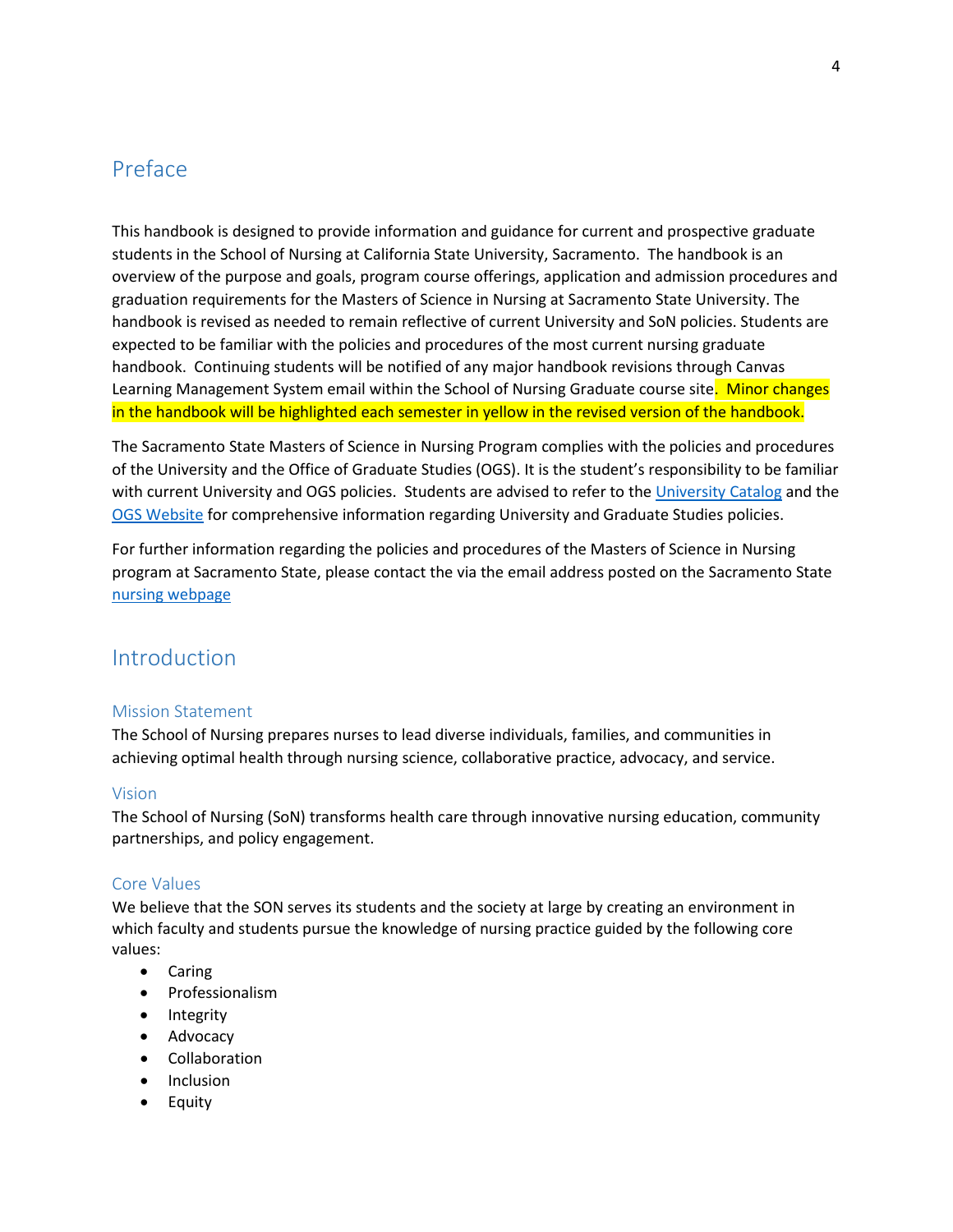## <span id="page-3-0"></span>Preface

This handbook is designed to provide information and guidance for current and prospective graduate students in the School of Nursing at California State University, Sacramento. The handbook is an overview of the purpose and goals, program course offerings, application and admission procedures and graduation requirements for the Masters of Science in Nursing at Sacramento State University. The handbook is revised as needed to remain reflective of current University and SoN policies. Students are expected to be familiar with the policies and procedures of the most current nursing graduate handbook. Continuing students will be notified of any major handbook revisions through Canvas Learning Management System email within the School of Nursing Graduate course site. Minor changes in the handbook will be highlighted each semester in yellow in the revised version of the handbook.

The Sacramento State Masters of Science in Nursing Program complies with the policies and procedures of the University and the Office of Graduate Studies (OGS). It is the student's responsibility to be familiar with current University and OGS policies. Students are advised to refer to the [University Catalog](http://catalog.csus.edu/) and the [OGS Website](http://www.csus.edu/gradstudies/) for comprehensive information regarding University and Graduate Studies policies.

For further information regarding the policies and procedures of the Masters of Science in Nursing program at Sacramento State, please contact the via the email address posted on the Sacramento State [nursing webpage](http://www.csus.edu/hhs/nrs/)

## <span id="page-3-1"></span>Introduction

#### <span id="page-3-2"></span>Mission Statement

The School of Nursing prepares nurses to lead diverse individuals, families, and communities in achieving optimal health through nursing science, collaborative practice, advocacy, and service.

#### <span id="page-3-3"></span>Vision

The School of Nursing (SoN) transforms health care through innovative nursing education, community partnerships, and policy engagement.

#### <span id="page-3-4"></span>Core Values

We believe that the SON serves its students and the society at large by creating an environment in which faculty and students pursue the knowledge of nursing practice guided by the following core values:

- Caring
- Professionalism
- Integrity
- Advocacy
- Collaboration
- Inclusion
- Equity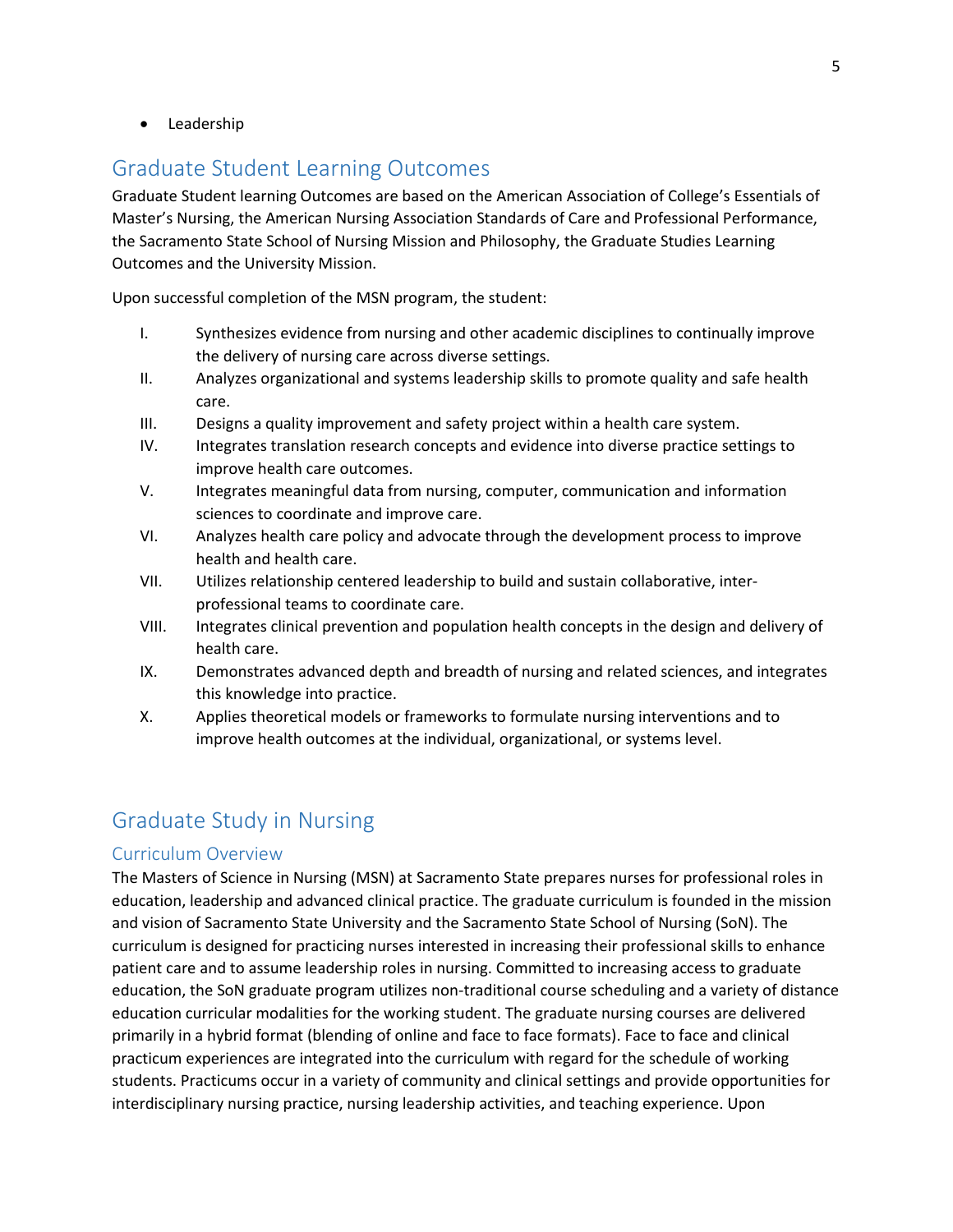• Leadership

## <span id="page-4-0"></span>Graduate Student Learning Outcomes

Graduate Student learning Outcomes are based on the American Association of College's Essentials of Master's Nursing, the American Nursing Association Standards of Care and Professional Performance, the Sacramento State School of Nursing Mission and Philosophy, the Graduate Studies Learning Outcomes and the University Mission.

Upon successful completion of the MSN program, the student:

- I. Synthesizes evidence from nursing and other academic disciplines to continually improve the delivery of nursing care across diverse settings.
- II. Analyzes organizational and systems leadership skills to promote quality and safe health care.
- III. Designs a quality improvement and safety project within a health care system.
- IV. Integrates translation research concepts and evidence into diverse practice settings to improve health care outcomes.
- V. Integrates meaningful data from nursing, computer, communication and information sciences to coordinate and improve care.
- VI. Analyzes health care policy and advocate through the development process to improve health and health care.
- VII. Utilizes relationship centered leadership to build and sustain collaborative, interprofessional teams to coordinate care.
- VIII. Integrates clinical prevention and population health concepts in the design and delivery of health care.
- IX. Demonstrates advanced depth and breadth of nursing and related sciences, and integrates this knowledge into practice.
- X. Applies theoretical models or frameworks to formulate nursing interventions and to improve health outcomes at the individual, organizational, or systems level.

## <span id="page-4-1"></span>Graduate Study in Nursing

#### <span id="page-4-2"></span>Curriculum Overview

The Masters of Science in Nursing (MSN) at Sacramento State prepares nurses for professional roles in education, leadership and advanced clinical practice. The graduate curriculum is founded in the mission and vision of Sacramento State University and the Sacramento State School of Nursing (SoN). The curriculum is designed for practicing nurses interested in increasing their professional skills to enhance patient care and to assume leadership roles in nursing. Committed to increasing access to graduate education, the SoN graduate program utilizes non-traditional course scheduling and a variety of distance education curricular modalities for the working student. The graduate nursing courses are delivered primarily in a hybrid format (blending of online and face to face formats). Face to face and clinical practicum experiences are integrated into the curriculum with regard for the schedule of working students. Practicums occur in a variety of community and clinical settings and provide opportunities for interdisciplinary nursing practice, nursing leadership activities, and teaching experience. Upon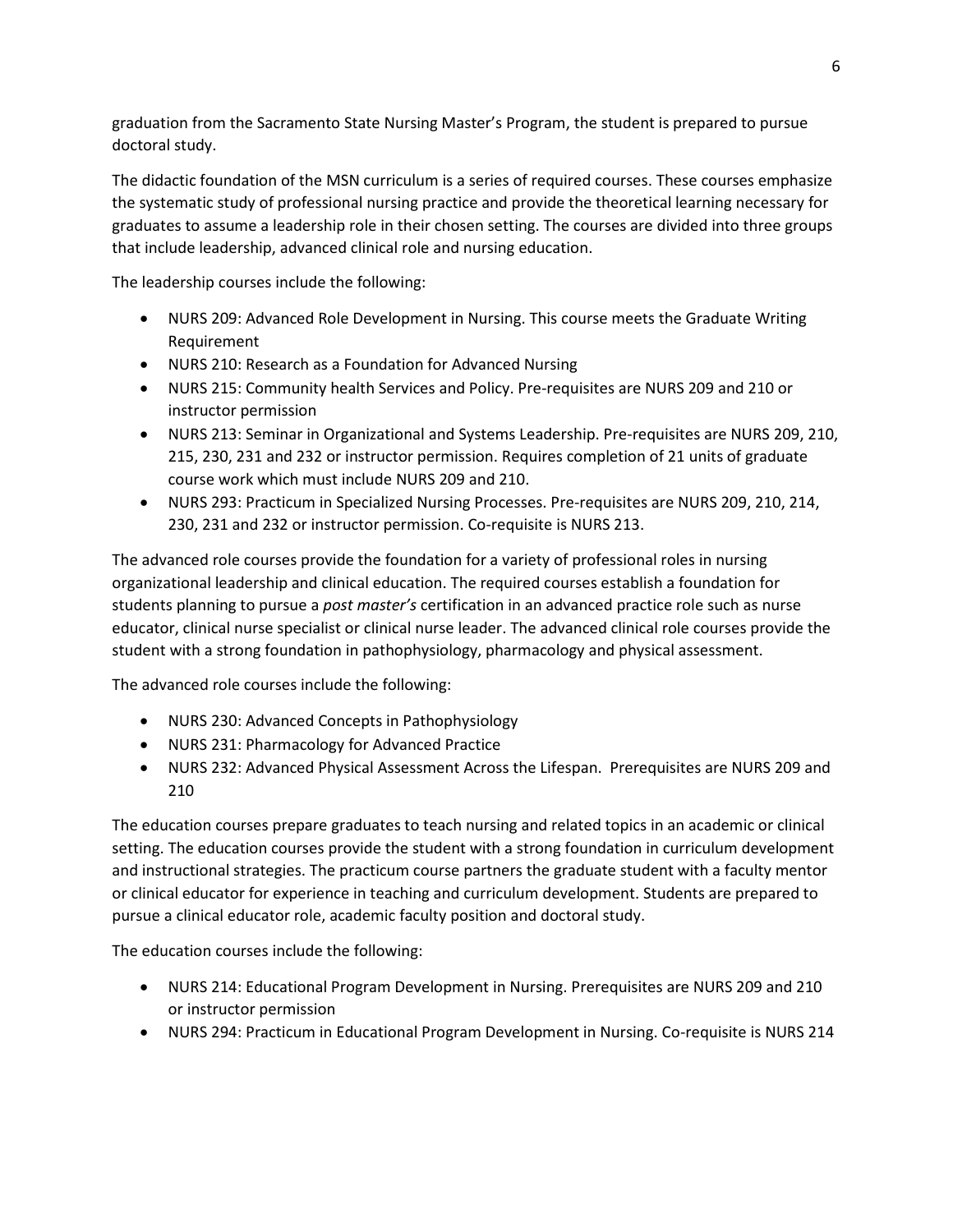graduation from the Sacramento State Nursing Master's Program, the student is prepared to pursue doctoral study.

The didactic foundation of the MSN curriculum is a series of required courses. These courses emphasize the systematic study of professional nursing practice and provide the theoretical learning necessary for graduates to assume a leadership role in their chosen setting. The courses are divided into three groups that include leadership, advanced clinical role and nursing education.

The leadership courses include the following:

- NURS 209: Advanced Role Development in Nursing. This course meets the Graduate Writing Requirement
- NURS 210: Research as a Foundation for Advanced Nursing
- NURS 215: Community health Services and Policy. Pre-requisites are NURS 209 and 210 or instructor permission
- NURS 213: Seminar in Organizational and Systems Leadership. Pre-requisites are NURS 209, 210, 215, 230, 231 and 232 or instructor permission. Requires completion of 21 units of graduate course work which must include NURS 209 and 210.
- NURS 293: Practicum in Specialized Nursing Processes. Pre-requisites are NURS 209, 210, 214, 230, 231 and 232 or instructor permission. Co-requisite is NURS 213.

The advanced role courses provide the foundation for a variety of professional roles in nursing organizational leadership and clinical education. The required courses establish a foundation for students planning to pursue a *post master's* certification in an advanced practice role such as nurse educator, clinical nurse specialist or clinical nurse leader. The advanced clinical role courses provide the student with a strong foundation in pathophysiology, pharmacology and physical assessment.

The advanced role courses include the following:

- NURS 230: Advanced Concepts in Pathophysiology
- NURS 231: Pharmacology for Advanced Practice
- NURS 232: Advanced Physical Assessment Across the Lifespan. Prerequisites are NURS 209 and 210

The education courses prepare graduates to teach nursing and related topics in an academic or clinical setting. The education courses provide the student with a strong foundation in curriculum development and instructional strategies. The practicum course partners the graduate student with a faculty mentor or clinical educator for experience in teaching and curriculum development. Students are prepared to pursue a clinical educator role, academic faculty position and doctoral study.

The education courses include the following:

- NURS 214: Educational Program Development in Nursing. Prerequisites are NURS 209 and 210 or instructor permission
- NURS 294: Practicum in Educational Program Development in Nursing. Co-requisite is NURS 214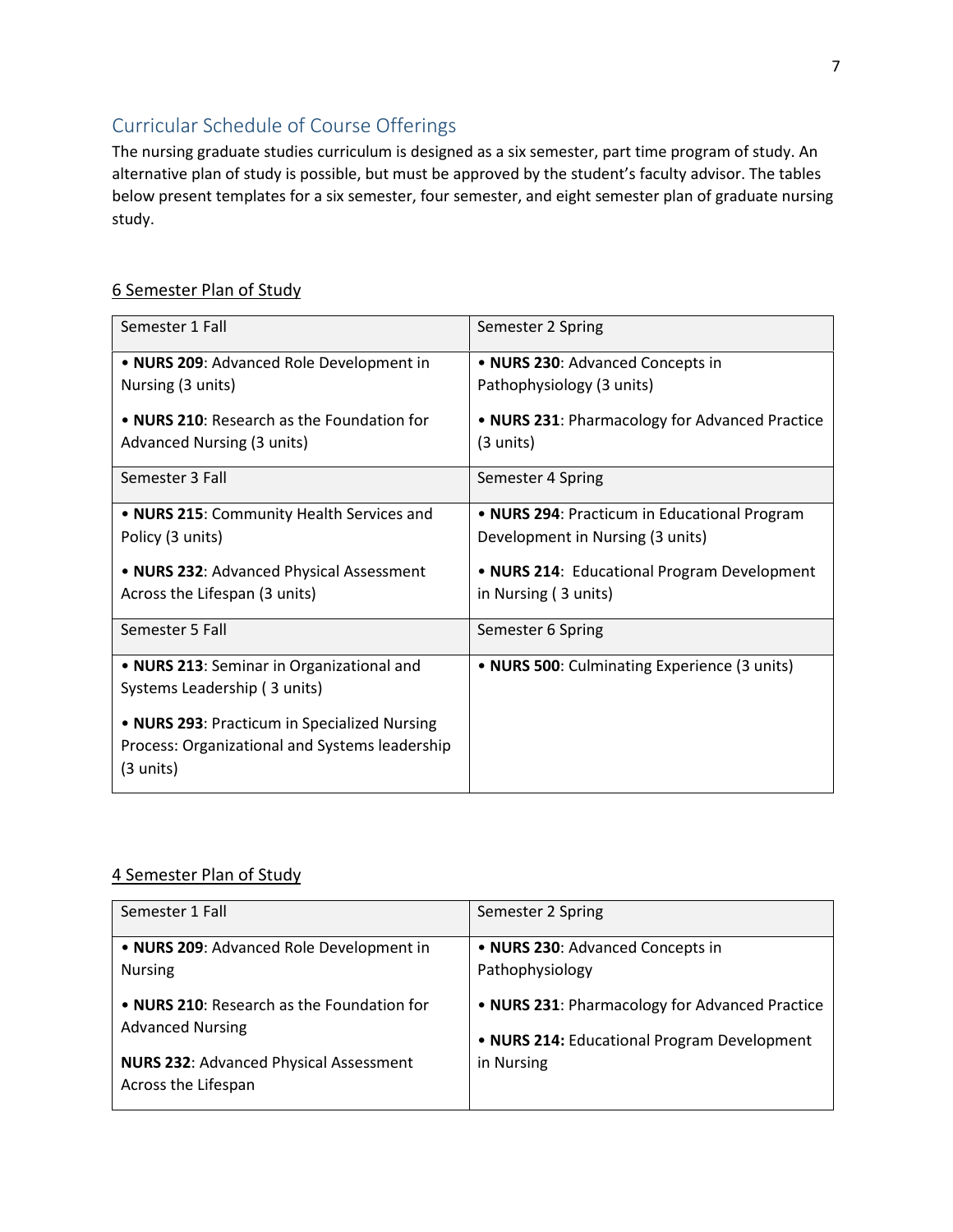## <span id="page-6-0"></span>Curricular Schedule of Course Offerings

The nursing graduate studies curriculum is designed as a six semester, part time program of study. An alternative plan of study is possible, but must be approved by the student's faculty advisor. The tables below present templates for a six semester, four semester, and eight semester plan of graduate nursing study.

## 6 Semester Plan of Study

| Semester 1 Fall                                | Semester 2 Spring                              |
|------------------------------------------------|------------------------------------------------|
| • NURS 209: Advanced Role Development in       | • NURS 230: Advanced Concepts in               |
| Nursing (3 units)                              | Pathophysiology (3 units)                      |
|                                                |                                                |
| • NURS 210: Research as the Foundation for     | • NURS 231: Pharmacology for Advanced Practice |
| <b>Advanced Nursing (3 units)</b>              | $(3 \text{ units})$                            |
| Semester 3 Fall                                | Semester 4 Spring                              |
| . NURS 215: Community Health Services and      | • NURS 294: Practicum in Educational Program   |
|                                                |                                                |
| Policy (3 units)                               | Development in Nursing (3 units)               |
| • NURS 232: Advanced Physical Assessment       | • NURS 214: Educational Program Development    |
| Across the Lifespan (3 units)                  | in Nursing (3 units)                           |
|                                                |                                                |
| Semester 5 Fall                                | Semester 6 Spring                              |
| • NURS 213: Seminar in Organizational and      | • NURS 500: Culminating Experience (3 units)   |
| Systems Leadership (3 units)                   |                                                |
|                                                |                                                |
| • NURS 293: Practicum in Specialized Nursing   |                                                |
| Process: Organizational and Systems leadership |                                                |
| (3 units)                                      |                                                |
|                                                |                                                |

#### 4 Semester Plan of Study

| Semester 1 Fall                                                      | Semester 2 Spring                              |
|----------------------------------------------------------------------|------------------------------------------------|
| • NURS 209: Advanced Role Development in                             | • NURS 230: Advanced Concepts in               |
| <b>Nursing</b>                                                       | Pathophysiology                                |
| • NURS 210: Research as the Foundation for                           | • NURS 231: Pharmacology for Advanced Practice |
| <b>Advanced Nursing</b>                                              | • NURS 214: Educational Program Development    |
| <b>NURS 232: Advanced Physical Assessment</b><br>Across the Lifespan | in Nursing                                     |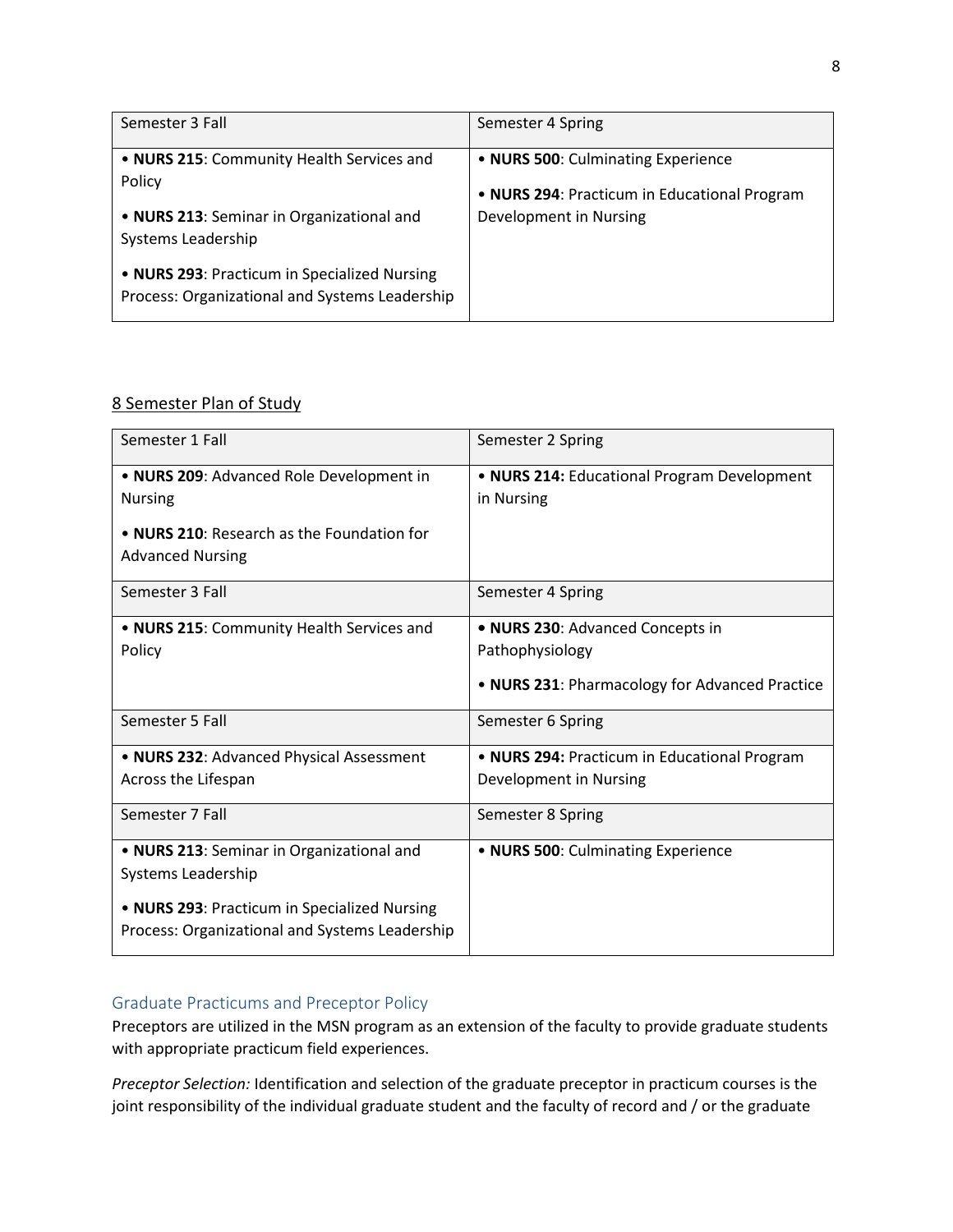| Semester 3 Fall                                                                                | Semester 4 Spring                                                                  |
|------------------------------------------------------------------------------------------------|------------------------------------------------------------------------------------|
| . NURS 215: Community Health Services and<br>Policy                                            | • NURS 500: Culminating Experience<br>• NURS 294: Practicum in Educational Program |
| • NURS 213: Seminar in Organizational and<br>Systems Leadership                                | Development in Nursing                                                             |
| • NURS 293: Practicum in Specialized Nursing<br>Process: Organizational and Systems Leadership |                                                                                    |

#### 8 Semester Plan of Study

| Semester 1 Fall                                | Semester 2 Spring                              |
|------------------------------------------------|------------------------------------------------|
| • NURS 209: Advanced Role Development in       | • NURS 214: Educational Program Development    |
| <b>Nursing</b>                                 | in Nursing                                     |
| • NURS 210: Research as the Foundation for     |                                                |
| <b>Advanced Nursing</b>                        |                                                |
| Semester 3 Fall                                | Semester 4 Spring                              |
| . NURS 215: Community Health Services and      | • NURS 230: Advanced Concepts in               |
| Policy                                         | Pathophysiology                                |
|                                                | . NURS 231: Pharmacology for Advanced Practice |
| Semester 5 Fall                                | Semester 6 Spring                              |
| . NURS 232: Advanced Physical Assessment       | • NURS 294: Practicum in Educational Program   |
| Across the Lifespan                            | Development in Nursing                         |
| Semester 7 Fall                                | Semester 8 Spring                              |
| . NURS 213: Seminar in Organizational and      | • NURS 500: Culminating Experience             |
| Systems Leadership                             |                                                |
| • NURS 293: Practicum in Specialized Nursing   |                                                |
| Process: Organizational and Systems Leadership |                                                |

#### <span id="page-7-0"></span>Graduate Practicums and Preceptor Policy

Preceptors are utilized in the MSN program as an extension of the faculty to provide graduate students with appropriate practicum field experiences.

*Preceptor Selection:* Identification and selection of the graduate preceptor in practicum courses is the joint responsibility of the individual graduate student and the faculty of record and / or the graduate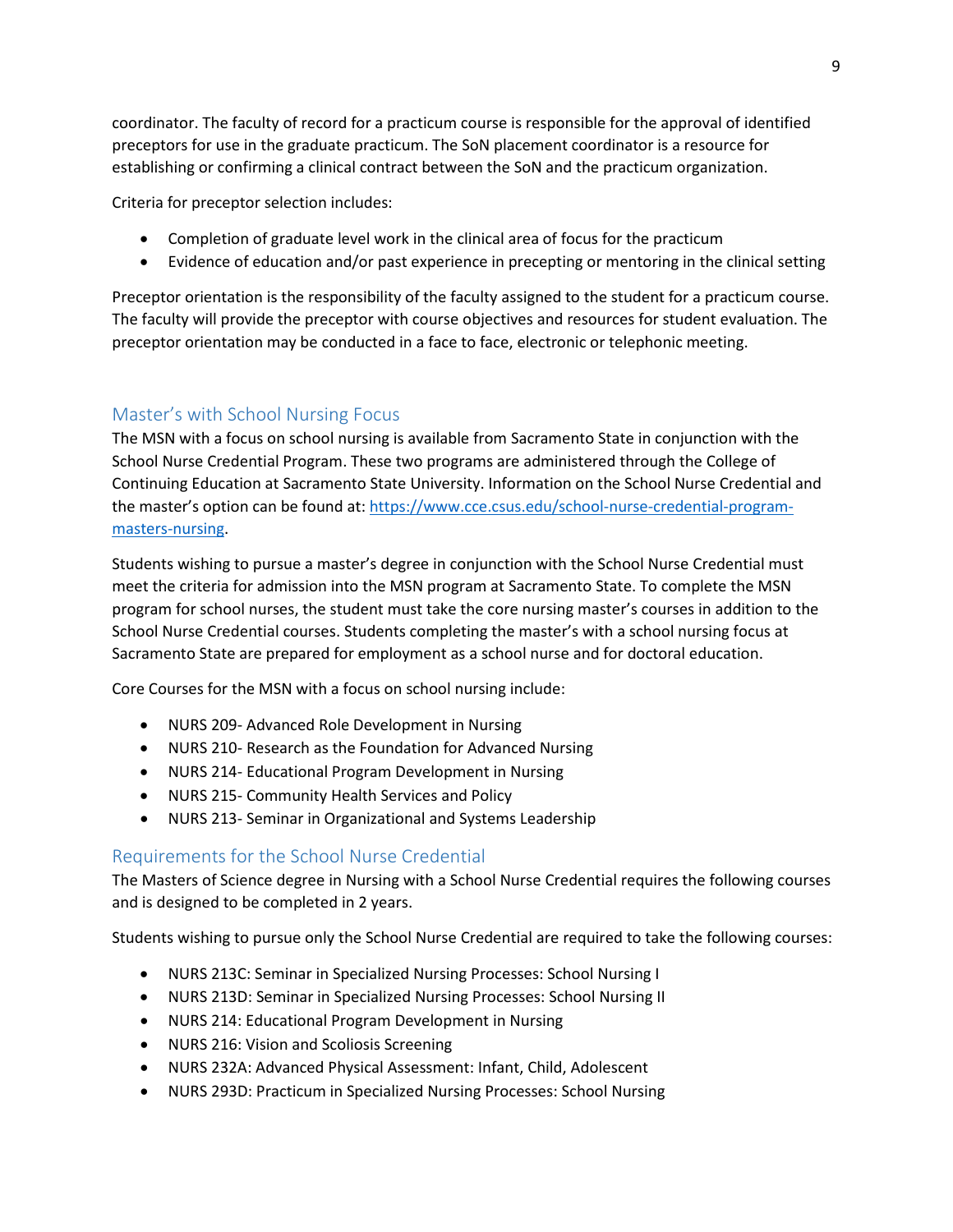coordinator. The faculty of record for a practicum course is responsible for the approval of identified preceptors for use in the graduate practicum. The SoN placement coordinator is a resource for establishing or confirming a clinical contract between the SoN and the practicum organization.

Criteria for preceptor selection includes:

- Completion of graduate level work in the clinical area of focus for the practicum
- Evidence of education and/or past experience in precepting or mentoring in the clinical setting

Preceptor orientation is the responsibility of the faculty assigned to the student for a practicum course. The faculty will provide the preceptor with course objectives and resources for student evaluation. The preceptor orientation may be conducted in a face to face, electronic or telephonic meeting.

#### <span id="page-8-0"></span>Master's with School Nursing Focus

The MSN with a focus on school nursing is available from Sacramento State in conjunction with the School Nurse Credential Program. These two programs are administered through the College of Continuing Education at Sacramento State University. Information on the School Nurse Credential and the master's option can be found at: [https://www.cce.csus.edu/school-nurse-credential-program](https://www.cce.csus.edu/school-nurse-credential-program-masters-nursing)[masters-nursing.](https://www.cce.csus.edu/school-nurse-credential-program-masters-nursing)

Students wishing to pursue a master's degree in conjunction with the School Nurse Credential must meet the criteria for admission into the MSN program at Sacramento State. To complete the MSN program for school nurses, the student must take the core nursing master's courses in addition to the School Nurse Credential courses. Students completing the master's with a school nursing focus at Sacramento State are prepared for employment as a school nurse and for doctoral education.

Core Courses for the MSN with a focus on school nursing include:

- NURS 209- Advanced Role Development in Nursing
- NURS 210- Research as the Foundation for Advanced Nursing
- NURS 214- Educational Program Development in Nursing
- NURS 215- Community Health Services and Policy
- NURS 213- Seminar in Organizational and Systems Leadership

#### <span id="page-8-1"></span>Requirements for the School Nurse Credential

The Masters of Science degree in Nursing with a School Nurse Credential requires the following courses and is designed to be completed in 2 years.

Students wishing to pursue only the School Nurse Credential are required to take the following courses:

- NURS 213C: Seminar in Specialized Nursing Processes: School Nursing I
- NURS 213D: Seminar in Specialized Nursing Processes: School Nursing II
- NURS 214: Educational Program Development in Nursing
- NURS 216: Vision and Scoliosis Screening
- NURS 232A: Advanced Physical Assessment: Infant, Child, Adolescent
- NURS 293D: Practicum in Specialized Nursing Processes: School Nursing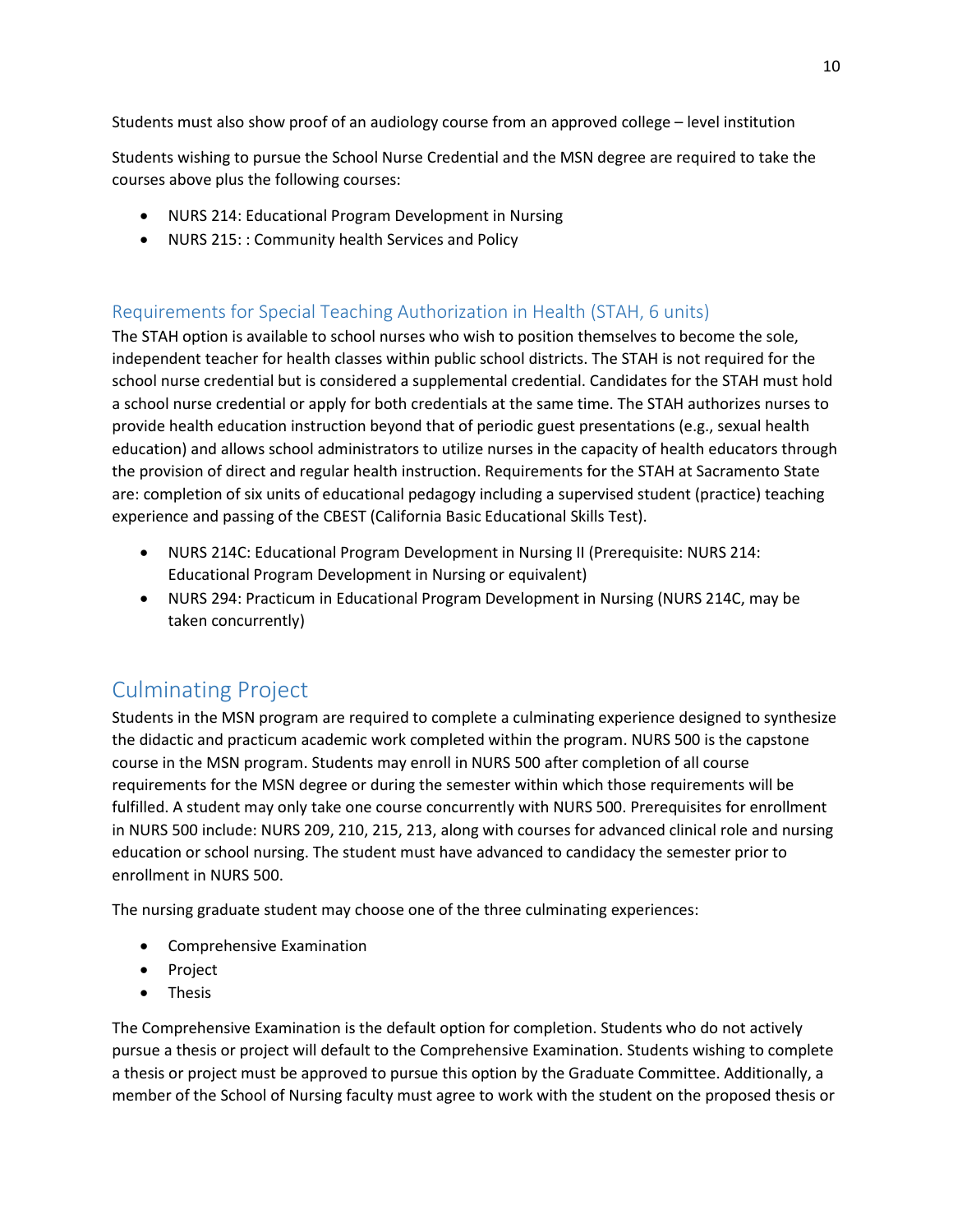Students must also show proof of an audiology course from an approved college – level institution

Students wishing to pursue the School Nurse Credential and the MSN degree are required to take the courses above plus the following courses:

- NURS 214: Educational Program Development in Nursing
- NURS 215: : Community health Services and Policy

## <span id="page-9-0"></span>Requirements for Special Teaching Authorization in Health (STAH, 6 units)

The STAH option is available to school nurses who wish to position themselves to become the sole, independent teacher for health classes within public school districts. The STAH is not required for the school nurse credential but is considered a supplemental credential. Candidates for the STAH must hold a school nurse credential or apply for both credentials at the same time. The STAH authorizes nurses to provide health education instruction beyond that of periodic guest presentations (e.g., sexual health education) and allows school administrators to utilize nurses in the capacity of health educators through the provision of direct and regular health instruction. Requirements for the STAH at Sacramento State are: completion of six units of educational pedagogy including a supervised student (practice) teaching experience and passing of the CBEST (California Basic Educational Skills Test).

- NURS 214C: Educational Program Development in Nursing II (Prerequisite: NURS 214: Educational Program Development in Nursing or equivalent)
- NURS 294: Practicum in Educational Program Development in Nursing (NURS 214C, may be taken concurrently)

## <span id="page-9-1"></span>Culminating Project

Students in the MSN program are required to complete a culminating experience designed to synthesize the didactic and practicum academic work completed within the program. NURS 500 is the capstone course in the MSN program. Students may enroll in NURS 500 after completion of all course requirements for the MSN degree or during the semester within which those requirements will be fulfilled. A student may only take one course concurrently with NURS 500. Prerequisites for enrollment in NURS 500 include: NURS 209, 210, 215, 213, along with courses for advanced clinical role and nursing education or school nursing. The student must have advanced to candidacy the semester prior to enrollment in NURS 500.

The nursing graduate student may choose one of the three culminating experiences:

- Comprehensive Examination
- Project
- Thesis

The Comprehensive Examination is the default option for completion. Students who do not actively pursue a thesis or project will default to the Comprehensive Examination. Students wishing to complete a thesis or project must be approved to pursue this option by the Graduate Committee. Additionally, a member of the School of Nursing faculty must agree to work with the student on the proposed thesis or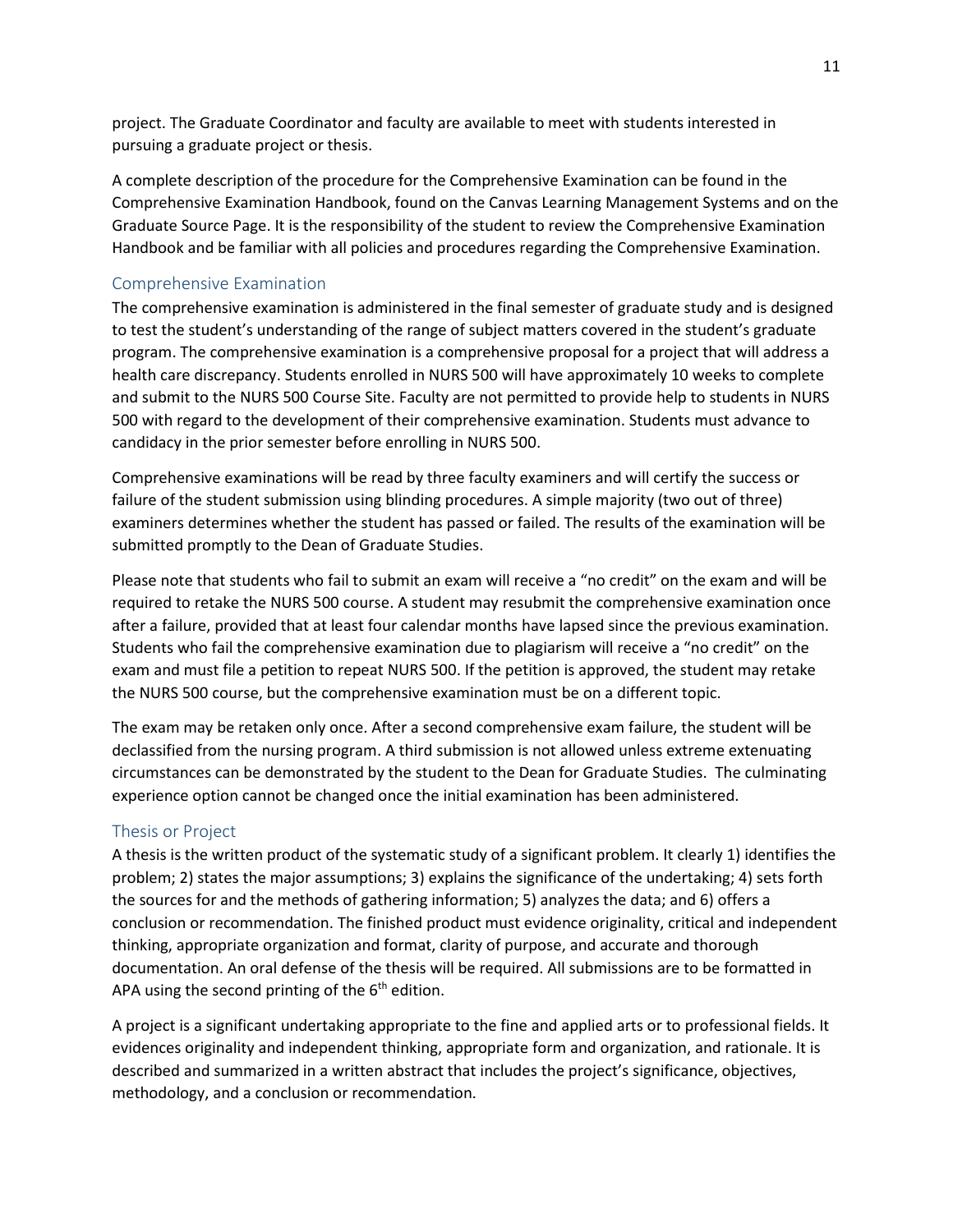project. The Graduate Coordinator and faculty are available to meet with students interested in pursuing a graduate project or thesis.

A complete description of the procedure for the Comprehensive Examination can be found in the Comprehensive Examination Handbook, found on the Canvas Learning Management Systems and on the Graduate Source Page. It is the responsibility of the student to review the Comprehensive Examination Handbook and be familiar with all policies and procedures regarding the Comprehensive Examination.

#### <span id="page-10-0"></span>Comprehensive Examination

The comprehensive examination is administered in the final semester of graduate study and is designed to test the student's understanding of the range of subject matters covered in the student's graduate program. The comprehensive examination is a comprehensive proposal for a project that will address a health care discrepancy. Students enrolled in NURS 500 will have approximately 10 weeks to complete and submit to the NURS 500 Course Site. Faculty are not permitted to provide help to students in NURS 500 with regard to the development of their comprehensive examination. Students must advance to candidacy in the prior semester before enrolling in NURS 500.

Comprehensive examinations will be read by three faculty examiners and will certify the success or failure of the student submission using blinding procedures. A simple majority (two out of three) examiners determines whether the student has passed or failed. The results of the examination will be submitted promptly to the Dean of Graduate Studies.

Please note that students who fail to submit an exam will receive a "no credit" on the exam and will be required to retake the NURS 500 course. A student may resubmit the comprehensive examination once after a failure, provided that at least four calendar months have lapsed since the previous examination. Students who fail the comprehensive examination due to plagiarism will receive a "no credit" on the exam and must file a petition to repeat NURS 500. If the petition is approved, the student may retake the NURS 500 course, but the comprehensive examination must be on a different topic.

The exam may be retaken only once. After a second comprehensive exam failure, the student will be declassified from the nursing program. A third submission is not allowed unless extreme extenuating circumstances can be demonstrated by the student to the Dean for Graduate Studies. The culminating experience option cannot be changed once the initial examination has been administered.

#### <span id="page-10-1"></span>Thesis or Project

A thesis is the written product of the systematic study of a significant problem. It clearly 1) identifies the problem; 2) states the major assumptions; 3) explains the significance of the undertaking; 4) sets forth the sources for and the methods of gathering information; 5) analyzes the data; and 6) offers a conclusion or recommendation. The finished product must evidence originality, critical and independent thinking, appropriate organization and format, clarity of purpose, and accurate and thorough documentation. An oral defense of the thesis will be required. All submissions are to be formatted in APA using the second printing of the  $6<sup>th</sup>$  edition.

A project is a significant undertaking appropriate to the fine and applied arts or to professional fields. It evidences originality and independent thinking, appropriate form and organization, and rationale. It is described and summarized in a written abstract that includes the project's significance, objectives, methodology, and a conclusion or recommendation*.*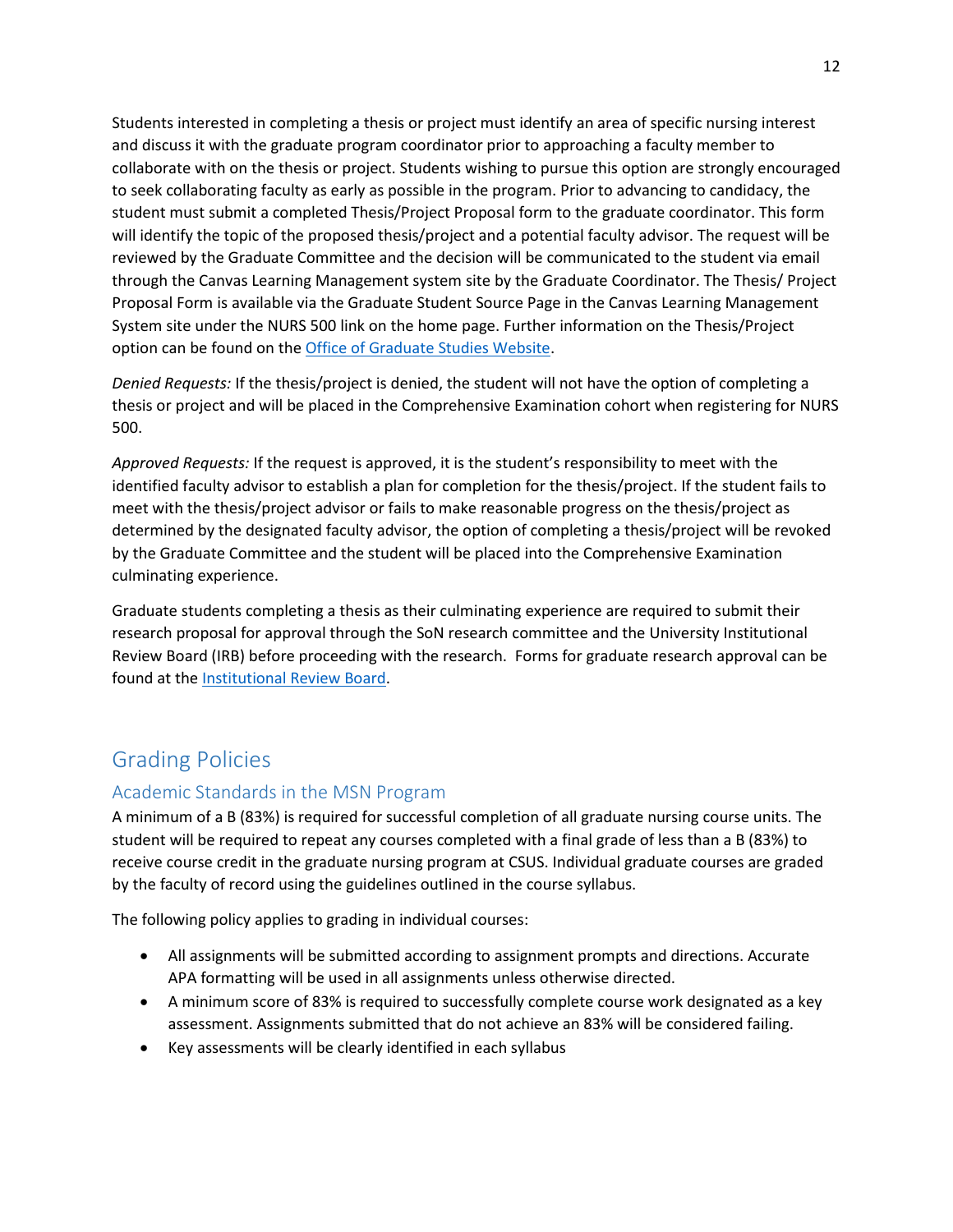Students interested in completing a thesis or project must identify an area of specific nursing interest and discuss it with the graduate program coordinator prior to approaching a faculty member to collaborate with on the thesis or project. Students wishing to pursue this option are strongly encouraged to seek collaborating faculty as early as possible in the program. Prior to advancing to candidacy, the student must submit a completed Thesis/Project Proposal form to the graduate coordinator. This form will identify the topic of the proposed thesis/project and a potential faculty advisor. The request will be reviewed by the Graduate Committee and the decision will be communicated to the student via email through the Canvas Learning Management system site by the Graduate Coordinator. The Thesis/ Project Proposal Form is available via the Graduate Student Source Page in the Canvas Learning Management System site under the NURS 500 link on the home page. Further information on the Thesis/Project option can be found on the [Office of Graduate Studies Website.](http://www.csus.edu/gradstudies/currentstudents/thesis-project-dissertation/index.html)

*Denied Requests:* If the thesis/project is denied, the student will not have the option of completing a thesis or project and will be placed in the Comprehensive Examination cohort when registering for NURS 500.

*Approved Requests:* If the request is approved, it is the student's responsibility to meet with the identified faculty advisor to establish a plan for completion for the thesis/project. If the student fails to meet with the thesis/project advisor or fails to make reasonable progress on the thesis/project as determined by the designated faculty advisor, the option of completing a thesis/project will be revoked by the Graduate Committee and the student will be placed into the Comprehensive Examination culminating experience.

Graduate students completing a thesis as their culminating experience are required to submit their research proposal for approval through the SoN research committee and the University Institutional Review Board (IRB) before proceeding with the research. Forms for graduate research approval can be found at the [Institutional Review Board.](http://www.csus.edu/research/irb)

## <span id="page-11-0"></span>Grading Policies

#### <span id="page-11-1"></span>Academic Standards in the MSN Program

A minimum of a B (83%) is required for successful completion of all graduate nursing course units. The student will be required to repeat any courses completed with a final grade of less than a B (83%) to receive course credit in the graduate nursing program at CSUS. Individual graduate courses are graded by the faculty of record using the guidelines outlined in the course syllabus.

The following policy applies to grading in individual courses:

- All assignments will be submitted according to assignment prompts and directions. Accurate APA formatting will be used in all assignments unless otherwise directed.
- A minimum score of 83% is required to successfully complete course work designated as a key assessment. Assignments submitted that do not achieve an 83% will be considered failing.
- Key assessments will be clearly identified in each syllabus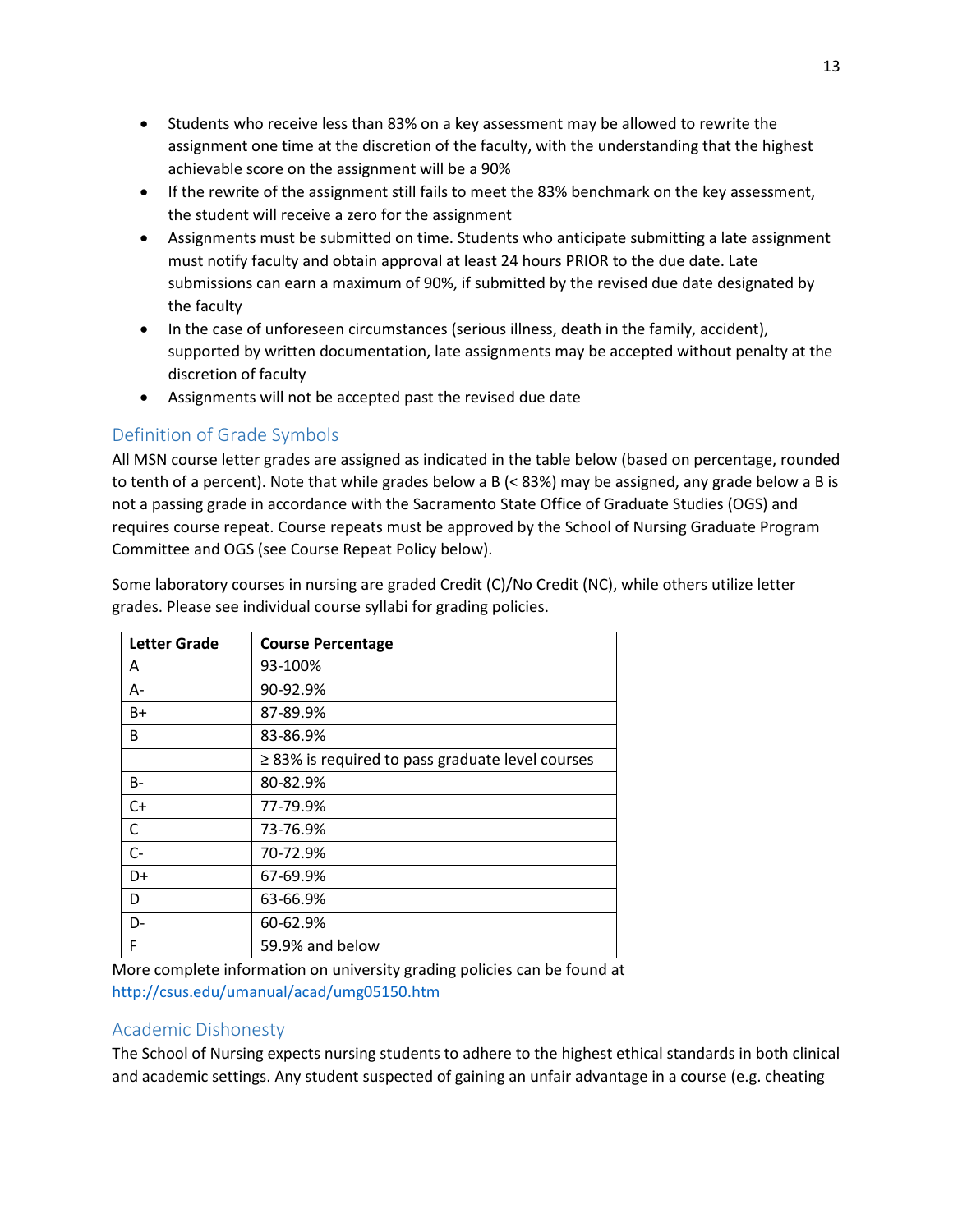- Students who receive less than 83% on a key assessment may be allowed to rewrite the assignment one time at the discretion of the faculty, with the understanding that the highest achievable score on the assignment will be a 90%
- If the rewrite of the assignment still fails to meet the 83% benchmark on the key assessment, the student will receive a zero for the assignment
- Assignments must be submitted on time. Students who anticipate submitting a late assignment must notify faculty and obtain approval at least 24 hours PRIOR to the due date. Late submissions can earn a maximum of 90%, if submitted by the revised due date designated by the faculty
- In the case of unforeseen circumstances (serious illness, death in the family, accident), supported by written documentation, late assignments may be accepted without penalty at the discretion of faculty
- Assignments will not be accepted past the revised due date

## <span id="page-12-0"></span>Definition of Grade Symbols

All MSN course letter grades are assigned as indicated in the table below (based on percentage, rounded to tenth of a percent). Note that while grades below a B (< 83%) may be assigned, any grade below a B is not a passing grade in accordance with the Sacramento State Office of Graduate Studies (OGS) and requires course repeat. Course repeats must be approved by the School of Nursing Graduate Program Committee and OGS (see Course Repeat Policy below).

| Some laboratory courses in nursing are graded Credit (C)/No Credit (NC), while others utilize letter |
|------------------------------------------------------------------------------------------------------|
| grades. Please see individual course syllabi for grading policies.                                   |

| <b>Letter Grade</b> | <b>Course Percentage</b>                              |
|---------------------|-------------------------------------------------------|
| A                   | 93-100%                                               |
| А-                  | 90-92.9%                                              |
| B+                  | 87-89.9%                                              |
| B                   | 83-86.9%                                              |
|                     | $\geq$ 83% is required to pass graduate level courses |
| B-                  | 80-82.9%                                              |
| $C+$                | 77-79.9%                                              |
| C                   | 73-76.9%                                              |
| $C-$                | 70-72.9%                                              |
| D+                  | 67-69.9%                                              |
| D                   | 63-66.9%                                              |
| D-                  | 60-62.9%                                              |
| F                   | 59.9% and below                                       |

More complete information on university grading policies can be found at <http://csus.edu/umanual/acad/umg05150.htm>

#### <span id="page-12-1"></span>Academic Dishonesty

The School of Nursing expects nursing students to adhere to the highest ethical standards in both clinical and academic settings. Any student suspected of gaining an unfair advantage in a course (e.g. cheating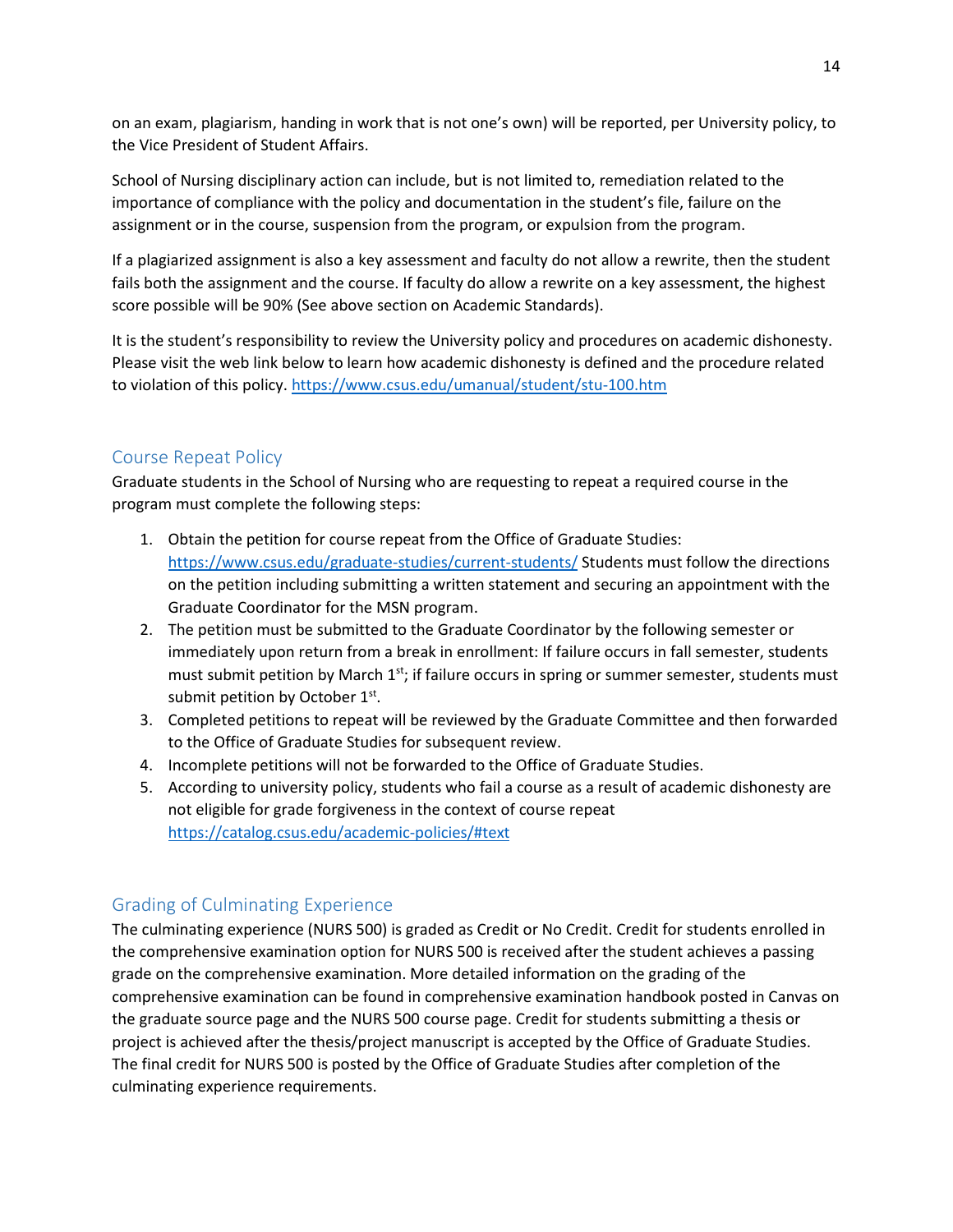on an exam, plagiarism, handing in work that is not one's own) will be reported, per University policy, to the Vice President of Student Affairs.

School of Nursing disciplinary action can include, but is not limited to, remediation related to the importance of compliance with the policy and documentation in the student's file, failure on the assignment or in the course, suspension from the program, or expulsion from the program.

If a plagiarized assignment is also a key assessment and faculty do not allow a rewrite, then the student fails both the assignment and the course. If faculty do allow a rewrite on a key assessment, the highest score possible will be 90% (See above section on Academic Standards).

<span id="page-13-0"></span>It is the student's responsibility to review the University policy and procedures on academic dishonesty. Please visit the web link below to learn how academic dishonesty is defined and the procedure related to violation of this policy.<https://www.csus.edu/umanual/student/stu-100.htm>

#### Course Repeat Policy

Graduate students in the School of Nursing who are requesting to repeat a required course in the program must complete the following steps:

- 1. Obtain the petition for course repeat from the Office of Graduate Studies: <https://www.csus.edu/graduate-studies/current-students/> Students must follow the directions on the petition including submitting a written statement and securing an appointment with the Graduate Coordinator for the MSN program.
- 2. The petition must be submitted to the Graduate Coordinator by the following semester or immediately upon return from a break in enrollment: If failure occurs in fall semester, students must submit petition by March  $1<sup>st</sup>$ ; if failure occurs in spring or summer semester, students must submit petition by October 1<sup>st</sup>.
- 3. Completed petitions to repeat will be reviewed by the Graduate Committee and then forwarded to the Office of Graduate Studies for subsequent review.
- 4. Incomplete petitions will not be forwarded to the Office of Graduate Studies.
- 5. According to university policy, students who fail a course as a result of academic dishonesty are not eligible for grade forgiveness in the context of course repeat <https://catalog.csus.edu/academic-policies/#text>

#### <span id="page-13-1"></span>Grading of Culminating Experience

The culminating experience (NURS 500) is graded as Credit or No Credit. Credit for students enrolled in the comprehensive examination option for NURS 500 is received after the student achieves a passing grade on the comprehensive examination. More detailed information on the grading of the comprehensive examination can be found in comprehensive examination handbook posted in Canvas on the graduate source page and the NURS 500 course page. Credit for students submitting a thesis or project is achieved after the thesis/project manuscript is accepted by the Office of Graduate Studies. The final credit for NURS 500 is posted by the Office of Graduate Studies after completion of the culminating experience requirements.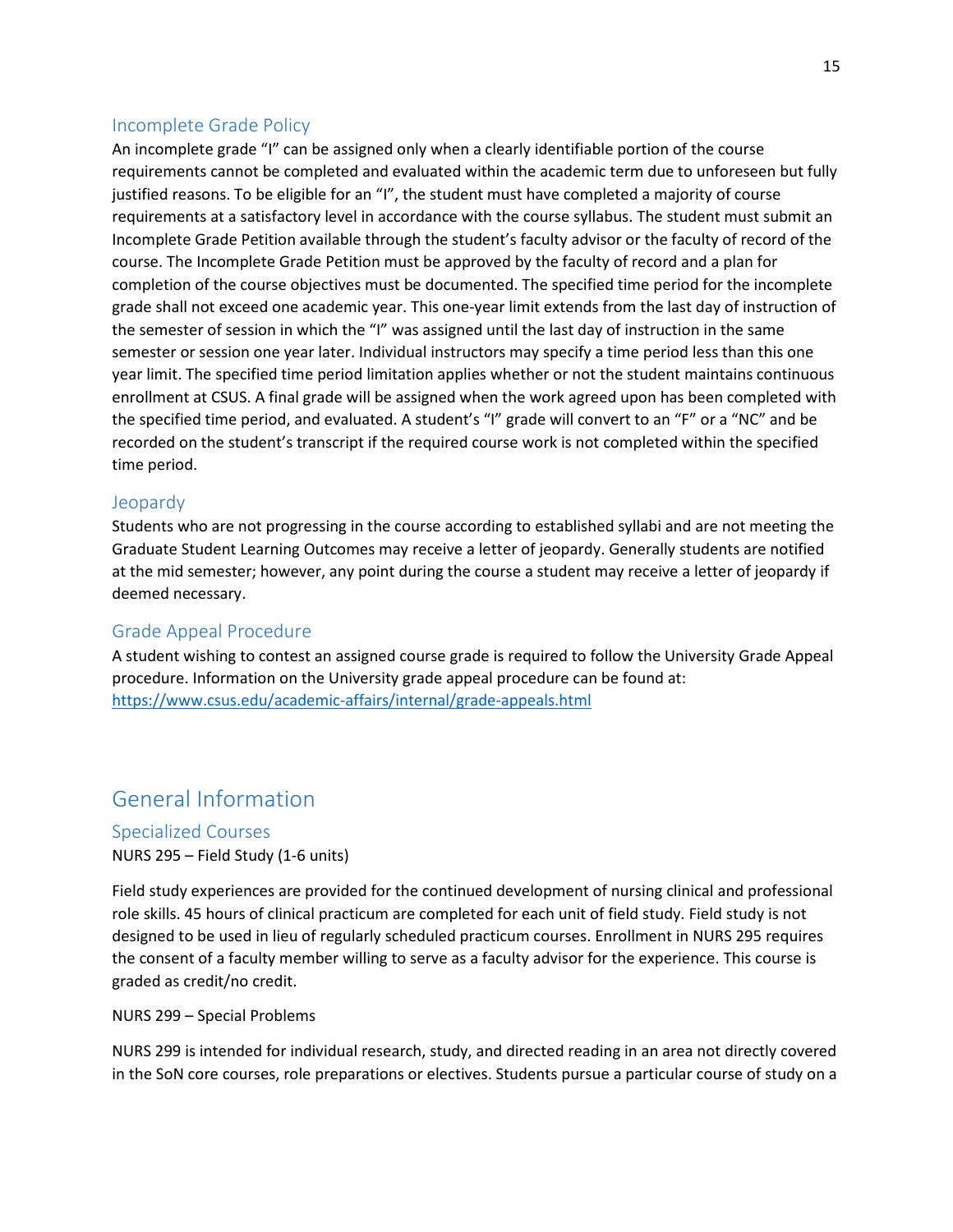#### <span id="page-14-0"></span>Incomplete Grade Policy

An incomplete grade "I" can be assigned only when a clearly identifiable portion of the course requirements cannot be completed and evaluated within the academic term due to unforeseen but fully justified reasons. To be eligible for an "I", the student must have completed a majority of course requirements at a satisfactory level in accordance with the course syllabus. The student must submit an Incomplete Grade Petition available through the student's faculty advisor or the faculty of record of the course. The Incomplete Grade Petition must be approved by the faculty of record and a plan for completion of the course objectives must be documented. The specified time period for the incomplete grade shall not exceed one academic year. This one-year limit extends from the last day of instruction of the semester of session in which the "I" was assigned until the last day of instruction in the same semester or session one year later. Individual instructors may specify a time period less than this one year limit. The specified time period limitation applies whether or not the student maintains continuous enrollment at CSUS. A final grade will be assigned when the work agreed upon has been completed with the specified time period, and evaluated. A student's "I" grade will convert to an "F" or a "NC" and be recorded on the student's transcript if the required course work is not completed within the specified time period.

#### <span id="page-14-1"></span>Jeopardy

Students who are not progressing in the course according to established syllabi and are not meeting the Graduate Student Learning Outcomes may receive a letter of jeopardy. Generally students are notified at the mid semester; however, any point during the course a student may receive a letter of jeopardy if deemed necessary.

#### <span id="page-14-2"></span>Grade Appeal Procedure

A student wishing to contest an assigned course grade is required to follow the University Grade Appeal procedure. Information on the University grade appeal procedure can be found at: <https://www.csus.edu/academic-affairs/internal/grade-appeals.html>

## <span id="page-14-3"></span>General Information

#### <span id="page-14-4"></span>Specialized Courses

NURS 295 – Field Study (1-6 units)

Field study experiences are provided for the continued development of nursing clinical and professional role skills. 45 hours of clinical practicum are completed for each unit of field study. Field study is not designed to be used in lieu of regularly scheduled practicum courses. Enrollment in NURS 295 requires the consent of a faculty member willing to serve as a faculty advisor for the experience. This course is graded as credit/no credit.

NURS 299 – Special Problems

NURS 299 is intended for individual research, study, and directed reading in an area not directly covered in the SoN core courses, role preparations or electives. Students pursue a particular course of study on a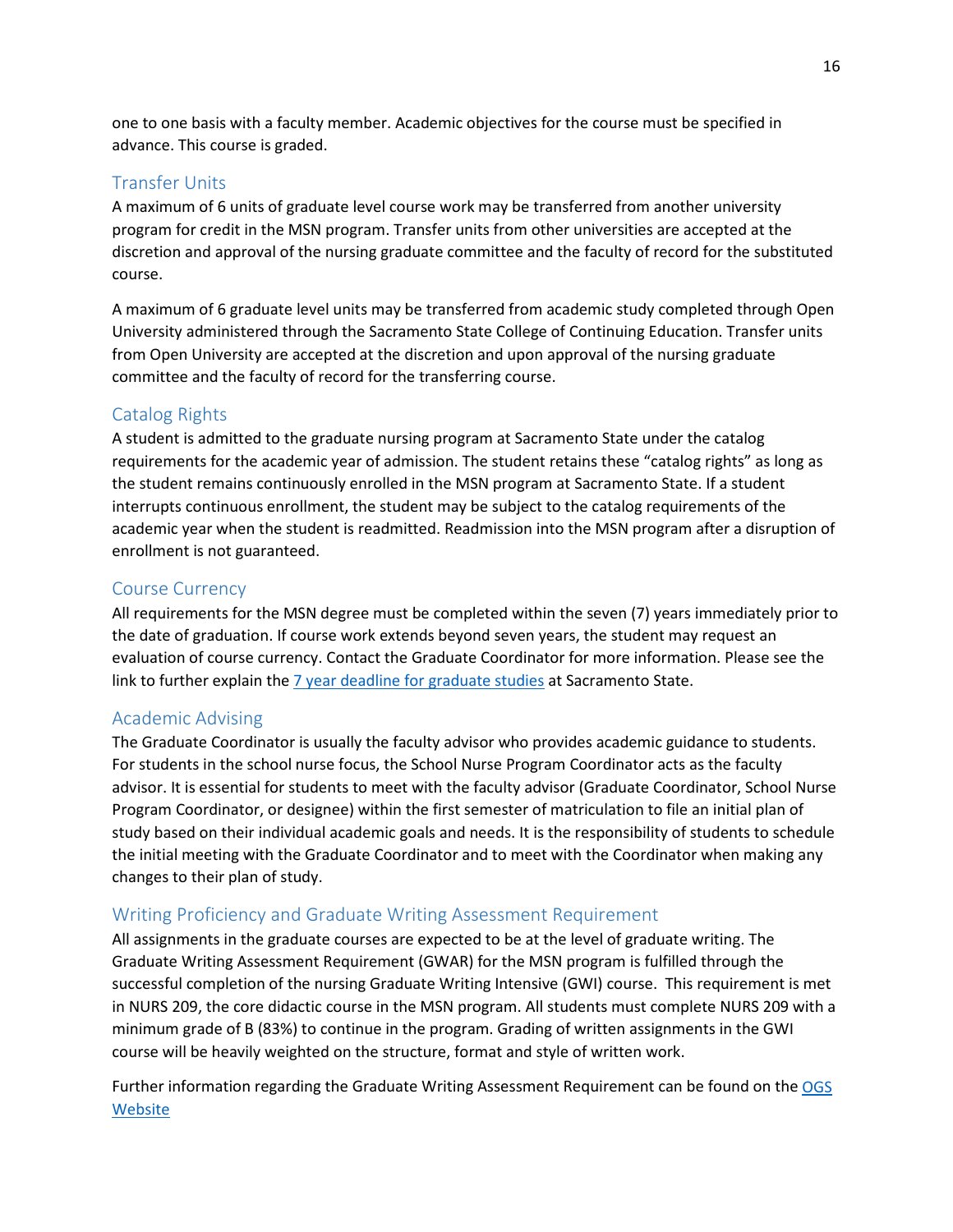one to one basis with a faculty member. Academic objectives for the course must be specified in advance. This course is graded.

#### <span id="page-15-0"></span>Transfer Units

A maximum of 6 units of graduate level course work may be transferred from another university program for credit in the MSN program. Transfer units from other universities are accepted at the discretion and approval of the nursing graduate committee and the faculty of record for the substituted course.

A maximum of 6 graduate level units may be transferred from academic study completed through Open University administered through the Sacramento State College of Continuing Education. Transfer units from Open University are accepted at the discretion and upon approval of the nursing graduate committee and the faculty of record for the transferring course.

#### <span id="page-15-1"></span>Catalog Rights

A student is admitted to the graduate nursing program at Sacramento State under the catalog requirements for the academic year of admission. The student retains these "catalog rights" as long as the student remains continuously enrolled in the MSN program at Sacramento State. If a student interrupts continuous enrollment, the student may be subject to the catalog requirements of the academic year when the student is readmitted. Readmission into the MSN program after a disruption of enrollment is not guaranteed.

#### <span id="page-15-2"></span>Course Currency

All requirements for the MSN degree must be completed within the seven (7) years immediately prior to the date of graduation. If course work extends beyond seven years, the student may request an evaluation of course currency. Contact the Graduate Coordinator for more information. Please see the link to further explain th[e 7 year deadline for graduate studies](https://www.csus.edu/graduate-studies/current-students/graduate-student-guide.html#seven-year-deadline-masters) at Sacramento State.

#### <span id="page-15-3"></span>Academic Advising

The Graduate Coordinator is usually the faculty advisor who provides academic guidance to students. For students in the school nurse focus, the School Nurse Program Coordinator acts as the faculty advisor. It is essential for students to meet with the faculty advisor (Graduate Coordinator, School Nurse Program Coordinator, or designee) within the first semester of matriculation to file an initial plan of study based on their individual academic goals and needs. It is the responsibility of students to schedule the initial meeting with the Graduate Coordinator and to meet with the Coordinator when making any changes to their plan of study.

#### <span id="page-15-4"></span>Writing Proficiency and Graduate Writing Assessment Requirement

All assignments in the graduate courses are expected to be at the level of graduate writing. The Graduate Writing Assessment Requirement (GWAR) for the MSN program is fulfilled through the successful completion of the nursing Graduate Writing Intensive (GWI) course. This requirement is met in NURS 209, the core didactic course in the MSN program. All students must complete NURS 209 with a minimum grade of B (83%) to continue in the program. Grading of written assignments in the GWI course will be heavily weighted on the structure, format and style of written work.

Further information regarding the Graduate Writing Assessment Requirement can be found on th[e OGS](https://www.csus.edu/graduate-studies/current-students/graduate-student-guide.html#graduation-writing-assessment-requirement)  [Website](https://www.csus.edu/graduate-studies/current-students/graduate-student-guide.html#graduation-writing-assessment-requirement)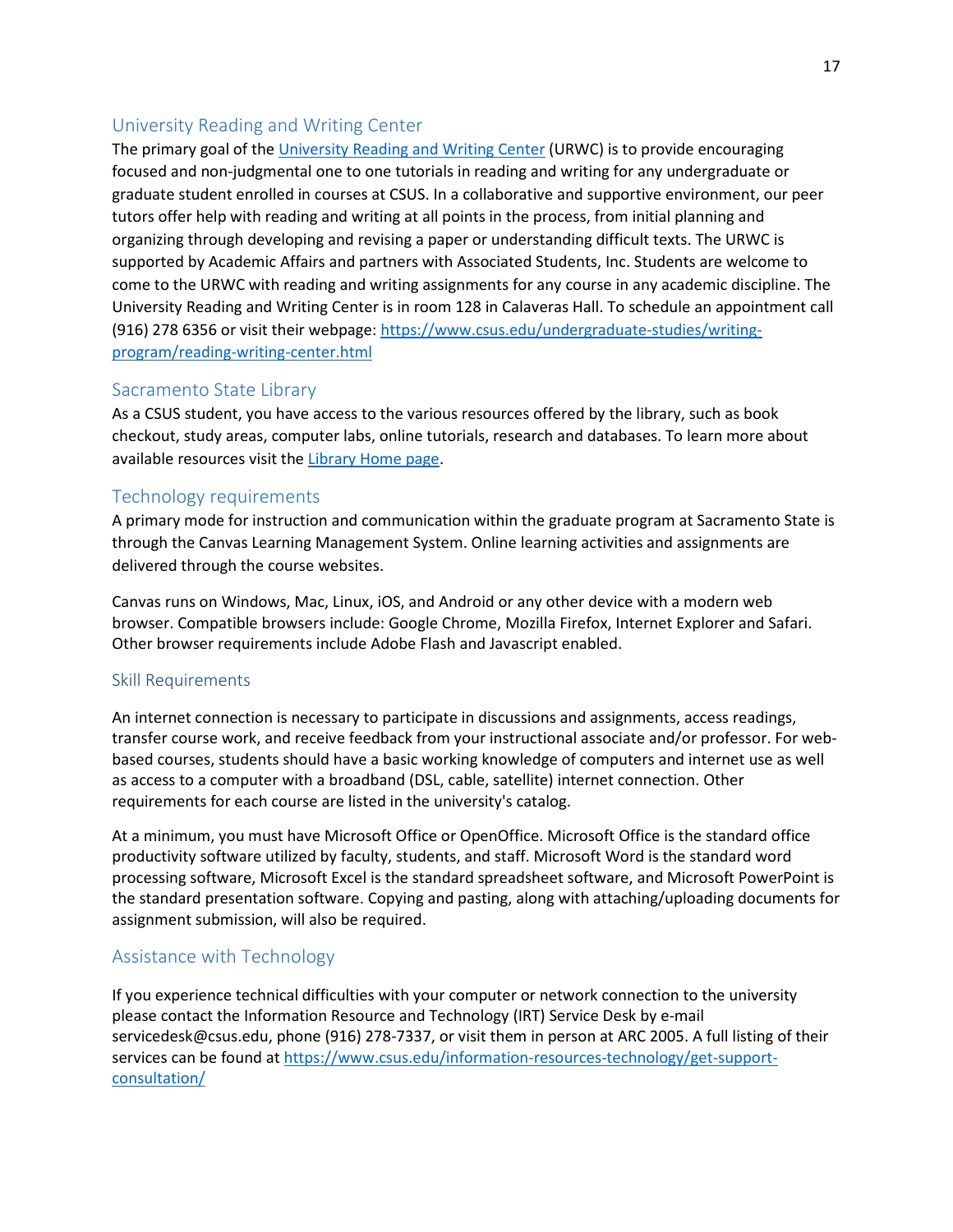#### <span id="page-16-0"></span>University Reading and Writing Center

The primary goal of the [University Reading and Writing Center](https://www.csus.edu/undergraduate-studies/writing-program/reading-writing-center.html) (URWC) is to provide encouraging focused and non-judgmental one to one tutorials in reading and writing for any undergraduate or graduate student enrolled in courses at CSUS. In a collaborative and supportive environment, our peer tutors offer help with reading and writing at all points in the process, from initial planning and organizing through developing and revising a paper or understanding difficult texts. The URWC is supported by Academic Affairs and partners with Associated Students, Inc. Students are welcome to come to the URWC with reading and writing assignments for any course in any academic discipline. The University Reading and Writing Center is in room 128 in Calaveras Hall. To schedule an appointment call (916) 278 6356 or visit their webpage[: https://www.csus.edu/undergraduate-studies/writing](https://www.csus.edu/undergraduate-studies/writing-program/reading-writing-center.html)[program/reading-writing-center.html](https://www.csus.edu/undergraduate-studies/writing-program/reading-writing-center.html)

#### Sacramento State Library

As a CSUS student, you have access to the various resources offered by the library, such as book checkout, study areas, computer labs, online tutorials, research and databases. To learn more about available resources visit the [Library Home page.](http://library.csus.edu/)

#### <span id="page-16-1"></span>Technology requirements

A primary mode for instruction and communication within the graduate program at Sacramento State is through the Canvas Learning Management System. Online learning activities and assignments are delivered through the course websites.

Canvas runs on Windows, Mac, Linux, iOS, and Android or any other device with a modern web browser. Compatible browsers include: Google Chrome, Mozilla Firefox, Internet Explorer and Safari. Other browser requirements include Adobe Flash and Javascript enabled.

#### <span id="page-16-2"></span>Skill Requirements

An internet connection is necessary to participate in discussions and assignments, access readings, transfer course work, and receive feedback from your instructional associate and/or professor. For webbased courses, students should have a basic working knowledge of computers and internet use as well as access to a computer with a broadband (DSL, cable, satellite) internet connection. Other requirements for each course are listed in the university's catalog.

At a minimum, you must have Microsoft Office or OpenOffice. Microsoft Office is the standard office productivity software utilized by faculty, students, and staff. Microsoft Word is the standard word processing software, Microsoft Excel is the standard spreadsheet software, and Microsoft PowerPoint is the standard presentation software. Copying and pasting, along with attaching/uploading documents for assignment submission, will also be required.

#### <span id="page-16-3"></span>Assistance with Technology

If you experience technical difficulties with your computer or network connection to the university please contact the Information Resource and Technology (IRT) Service Desk by e-mail servicedesk@csus.edu, phone (916) 278-7337, or visit them in person at ARC 2005. A full listing of their services can be found at [https://www.csus.edu/information-resources-technology/get-support](https://www.csus.edu/information-resources-technology/get-support-consultation/)[consultation/](https://www.csus.edu/information-resources-technology/get-support-consultation/)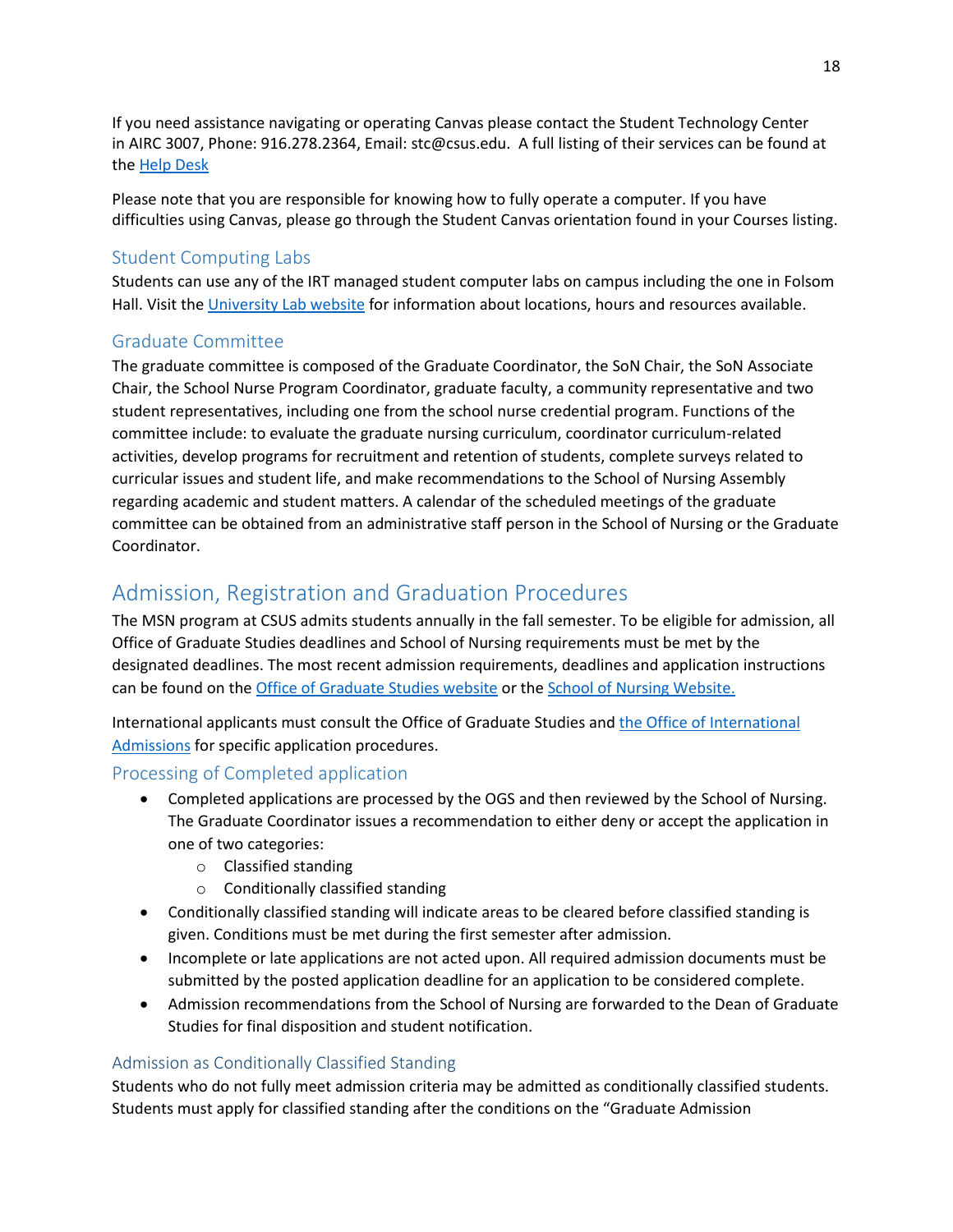If you need assistance navigating or operating Canvas please contact the Student Technology Center in AIRC 3007, Phone: 916.278.2364, Email: stc@csus.edu. A full listing of their services can be found at the [Help Desk](https://www.csus.edu/information-resources-technology/get-support-consultation/service-desk.html)

Please note that you are responsible for knowing how to fully operate a computer. If you have difficulties using Canvas, please go through the Student Canvas orientation found in your Courses listing.

#### <span id="page-17-0"></span>Student Computing Labs

<span id="page-17-1"></span>Students can use any of the IRT managed student computer labs on campus including the one in Folsom Hall. Visit th[e University Lab website](https://www.csus.edu/information-resources-technology/teaching-learning/computer-labs.html) for information about locations, hours and resources available.

#### Graduate Committee

The graduate committee is composed of the Graduate Coordinator, the SoN Chair, the SoN Associate Chair, the School Nurse Program Coordinator, graduate faculty, a community representative and two student representatives, including one from the school nurse credential program. Functions of the committee include: to evaluate the graduate nursing curriculum, coordinator curriculum-related activities, develop programs for recruitment and retention of students, complete surveys related to curricular issues and student life, and make recommendations to the School of Nursing Assembly regarding academic and student matters. A calendar of the scheduled meetings of the graduate committee can be obtained from an administrative staff person in the School of Nursing or the Graduate Coordinator.

## <span id="page-17-2"></span>Admission, Registration and Graduation Procedures

The MSN program at CSUS admits students annually in the fall semester. To be eligible for admission, all Office of Graduate Studies deadlines and School of Nursing requirements must be met by the designated deadlines. The most recent admission requirements, deadlines and application instructions can be found on the [Office of Graduate Studies website](https://www.csus.edu/graduate-studies/) or the [School of Nursing Website.](https://www.csus.edu/college/health-human-services/nursing/graduate-program.html)

<span id="page-17-3"></span>International applicants must consult the Office of Graduate Studies and [the Office of International](https://www.csus.edu/international-programs-global-engagement/application-admissions-process/)  [Admissions](https://www.csus.edu/international-programs-global-engagement/application-admissions-process/) for specific application procedures.

#### Processing of Completed application

- Completed applications are processed by the OGS and then reviewed by the School of Nursing. The Graduate Coordinator issues a recommendation to either deny or accept the application in one of two categories:
	- o Classified standing
	- o Conditionally classified standing
- Conditionally classified standing will indicate areas to be cleared before classified standing is given. Conditions must be met during the first semester after admission.
- Incomplete or late applications are not acted upon. All required admission documents must be submitted by the posted application deadline for an application to be considered complete.
- Admission recommendations from the School of Nursing are forwarded to the Dean of Graduate Studies for final disposition and student notification.

#### <span id="page-17-4"></span>Admission as Conditionally Classified Standing

Students who do not fully meet admission criteria may be admitted as conditionally classified students. Students must apply for classified standing after the conditions on the "Graduate Admission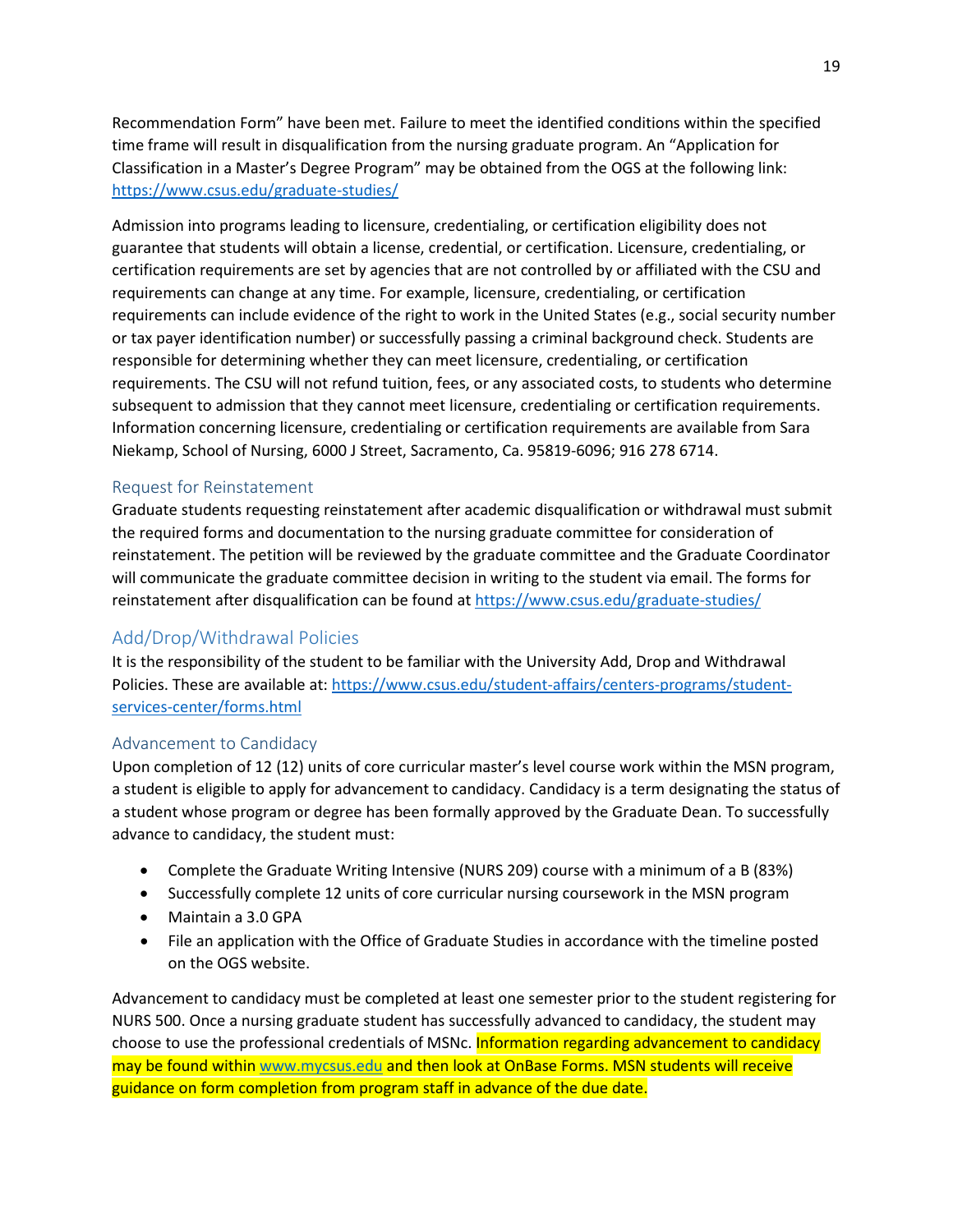Recommendation Form" have been met. Failure to meet the identified conditions within the specified time frame will result in disqualification from the nursing graduate program. An "Application for Classification in a Master's Degree Program" may be obtained from the OGS at the following link: <https://www.csus.edu/graduate-studies/>

Admission into programs leading to licensure, credentialing, or certification eligibility does not guarantee that students will obtain a license, credential, or certification. Licensure, credentialing, or certification requirements are set by agencies that are not controlled by or affiliated with the CSU and requirements can change at any time. For example, licensure, credentialing, or certification requirements can include evidence of the right to work in the United States (e.g., social security number or tax payer identification number) or successfully passing a criminal background check. Students are responsible for determining whether they can meet licensure, credentialing, or certification requirements. The CSU will not refund tuition, fees, or any associated costs, to students who determine subsequent to admission that they cannot meet licensure, credentialing or certification requirements. Information concerning licensure, credentialing or certification requirements are available from Sara Niekamp, School of Nursing, 6000 J Street, Sacramento, Ca. 95819-6096; 916 278 6714.

#### <span id="page-18-0"></span>Request for Reinstatement

Graduate students requesting reinstatement after academic disqualification or withdrawal must submit the required forms and documentation to the nursing graduate committee for consideration of reinstatement. The petition will be reviewed by the graduate committee and the Graduate Coordinator will communicate the graduate committee decision in writing to the student via email. The forms for reinstatement after disqualification can be found at<https://www.csus.edu/graduate-studies/>

#### <span id="page-18-1"></span>Add/Drop/Withdrawal Policies

It is the responsibility of the student to be familiar with the University Add, Drop and Withdrawal Policies. These are available at: [https://www.csus.edu/student-affairs/centers-programs/student](https://www.csus.edu/student-affairs/centers-programs/student-services-center/forms.html)[services-center/forms.html](https://www.csus.edu/student-affairs/centers-programs/student-services-center/forms.html)

#### <span id="page-18-2"></span>Advancement to Candidacy

Upon completion of 12 (12) units of core curricular master's level course work within the MSN program, a student is eligible to apply for advancement to candidacy. Candidacy is a term designating the status of a student whose program or degree has been formally approved by the Graduate Dean. To successfully advance to candidacy, the student must:

- Complete the Graduate Writing Intensive (NURS 209) course with a minimum of a B (83%)
- Successfully complete 12 units of core curricular nursing coursework in the MSN program
- Maintain a 3.0 GPA
- File an application with the Office of Graduate Studies in accordance with the timeline posted on the OGS website.

Advancement to candidacy must be completed at least one semester prior to the student registering for NURS 500. Once a nursing graduate student has successfully advanced to candidacy, the student may choose to use the professional credentials of MSNc. Information regarding advancement to candidacy may be found within [www.mycsus.edu](http://www.mycsus.edu/) and then look at OnBase Forms. MSN students will receive guidance on form completion from program staff in advance of the due date.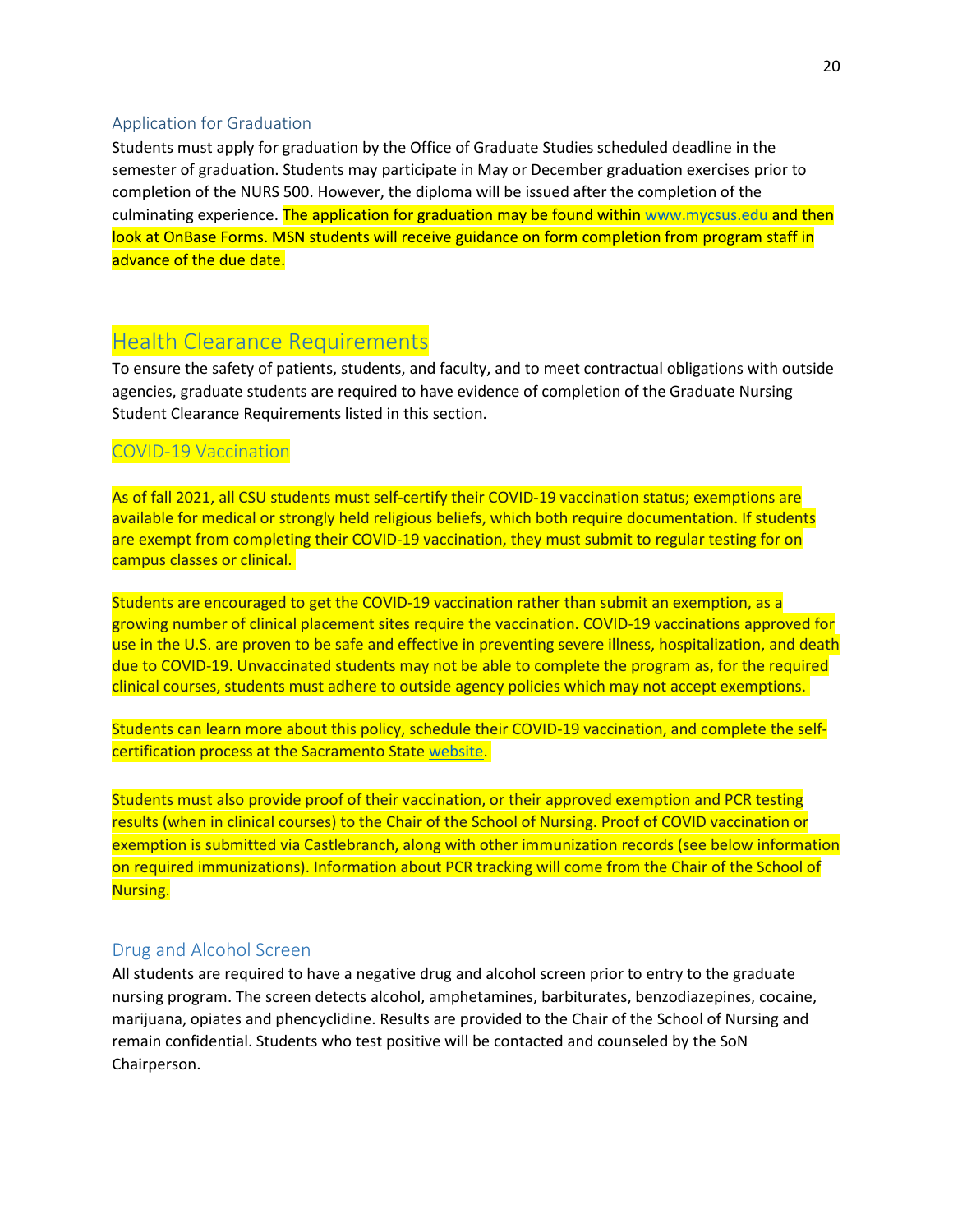#### <span id="page-19-0"></span>Application for Graduation

Students must apply for graduation by the Office of Graduate Studies scheduled deadline in the semester of graduation. Students may participate in May or December graduation exercises prior to completion of the NURS 500. However, the diploma will be issued after the completion of the culminating experience. The application for graduation may be found withi[n www.mycsus.edu](http://www.mycsus.edu/) and then look at OnBase Forms. MSN students will receive guidance on form completion from program staff in advance of the due date.

## <span id="page-19-1"></span>Health Clearance Requirements

To ensure the safety of patients, students, and faculty, and to meet contractual obligations with outside agencies, graduate students are required to have evidence of completion of the Graduate Nursing Student Clearance Requirements listed in this section.

#### COVID-19 Vaccination

As of fall 2021, all CSU students must self-certify their COVID-19 vaccination status; exemptions are available for medical or strongly held religious beliefs, which both require documentation. If students are exempt from completing their COVID-19 vaccination, they must submit to regular testing for on campus classes or clinical.

Students are encouraged to get the COVID-19 vaccination rather than submit an exemption, as a growing number of clinical placement sites require the vaccination. COVID-19 vaccinations approved for use in the U.S. are proven to be safe and effective in preventing severe illness, hospitalization, and death due to COVID-19. Unvaccinated students may not be able to complete the program as, for the required clinical courses, students must adhere to outside agency policies which may not accept exemptions.

<span id="page-19-2"></span>Students can learn more about this policy, schedule their COVID-19 vaccination, and complete the selfcertification process at the Sacramento Stat[e website.](https://www.csus.edu/student-affairs/emergency-student-information/)

Students must also provide proof of their vaccination, or their approved exemption and PCR testing results (when in clinical courses) to the Chair of the School of Nursing. Proof of COVID vaccination or exemption is submitted via Castlebranch, along with other immunization records (see below information on required immunizations). Information about PCR tracking will come from the Chair of the School of Nursing.

#### Drug and Alcohol Screen

All students are required to have a negative drug and alcohol screen prior to entry to the graduate nursing program. The screen detects alcohol, amphetamines, barbiturates, benzodiazepines, cocaine, marijuana, opiates and phencyclidine. Results are provided to the Chair of the School of Nursing and remain confidential. Students who test positive will be contacted and counseled by the SoN Chairperson.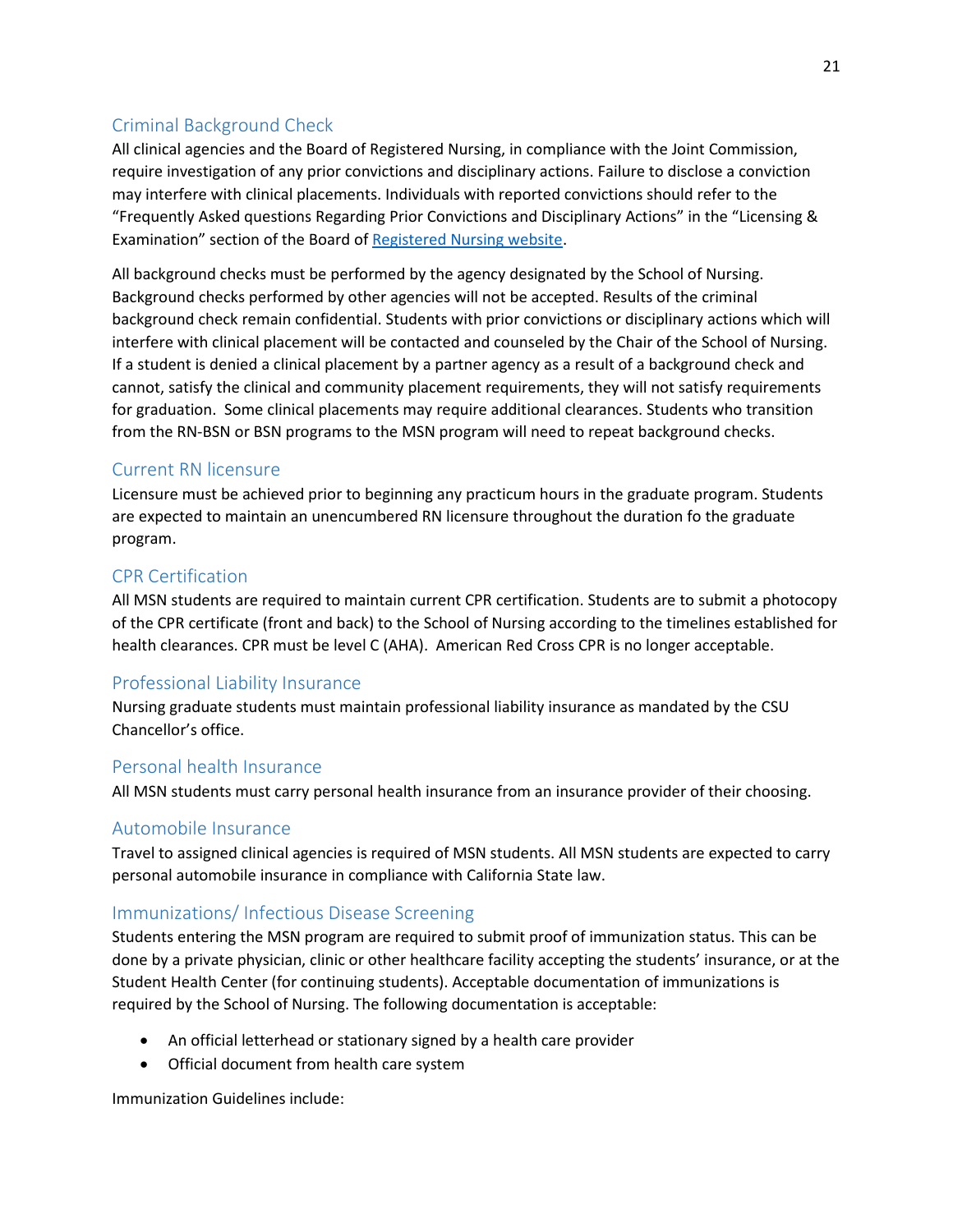#### <span id="page-20-0"></span>Criminal Background Check

All clinical agencies and the Board of Registered Nursing, in compliance with the Joint Commission, require investigation of any prior convictions and disciplinary actions. Failure to disclose a conviction may interfere with clinical placements. Individuals with reported convictions should refer to the "Frequently Asked questions Regarding Prior Convictions and Disciplinary Actions" in the "Licensing & Examination" section of the Board of [Registered Nursing website.](http://www.rn.ca.gov/enforcement/convictions.shtml)

All background checks must be performed by the agency designated by the School of Nursing. Background checks performed by other agencies will not be accepted. Results of the criminal background check remain confidential. Students with prior convictions or disciplinary actions which will interfere with clinical placement will be contacted and counseled by the Chair of the School of Nursing. If a student is denied a clinical placement by a partner agency as a result of a background check and cannot, satisfy the clinical and community placement requirements, they will not satisfy requirements for graduation. Some clinical placements may require additional clearances. Students who transition from the RN-BSN or BSN programs to the MSN program will need to repeat background checks.

#### <span id="page-20-1"></span>Current RN licensure

Licensure must be achieved prior to beginning any practicum hours in the graduate program. Students are expected to maintain an unencumbered RN licensure throughout the duration fo the graduate program.

#### <span id="page-20-2"></span>CPR Certification

All MSN students are required to maintain current CPR certification. Students are to submit a photocopy of the CPR certificate (front and back) to the School of Nursing according to the timelines established for health clearances. CPR must be level C (AHA). American Red Cross CPR is no longer acceptable.

#### <span id="page-20-3"></span>Professional Liability Insurance

Nursing graduate students must maintain professional liability insurance as mandated by the CSU Chancellor's office.

#### <span id="page-20-4"></span>Personal health Insurance

All MSN students must carry personal health insurance from an insurance provider of their choosing.

#### <span id="page-20-5"></span>Automobile Insurance

Travel to assigned clinical agencies is required of MSN students. All MSN students are expected to carry personal automobile insurance in compliance with California State law.

#### <span id="page-20-6"></span>Immunizations/ Infectious Disease Screening

Students entering the MSN program are required to submit proof of immunization status. This can be done by a private physician, clinic or other healthcare facility accepting the students' insurance, or at the Student Health Center (for continuing students). Acceptable documentation of immunizations is required by the School of Nursing. The following documentation is acceptable:

- An official letterhead or stationary signed by a health care provider
- Official document from health care system

Immunization Guidelines include: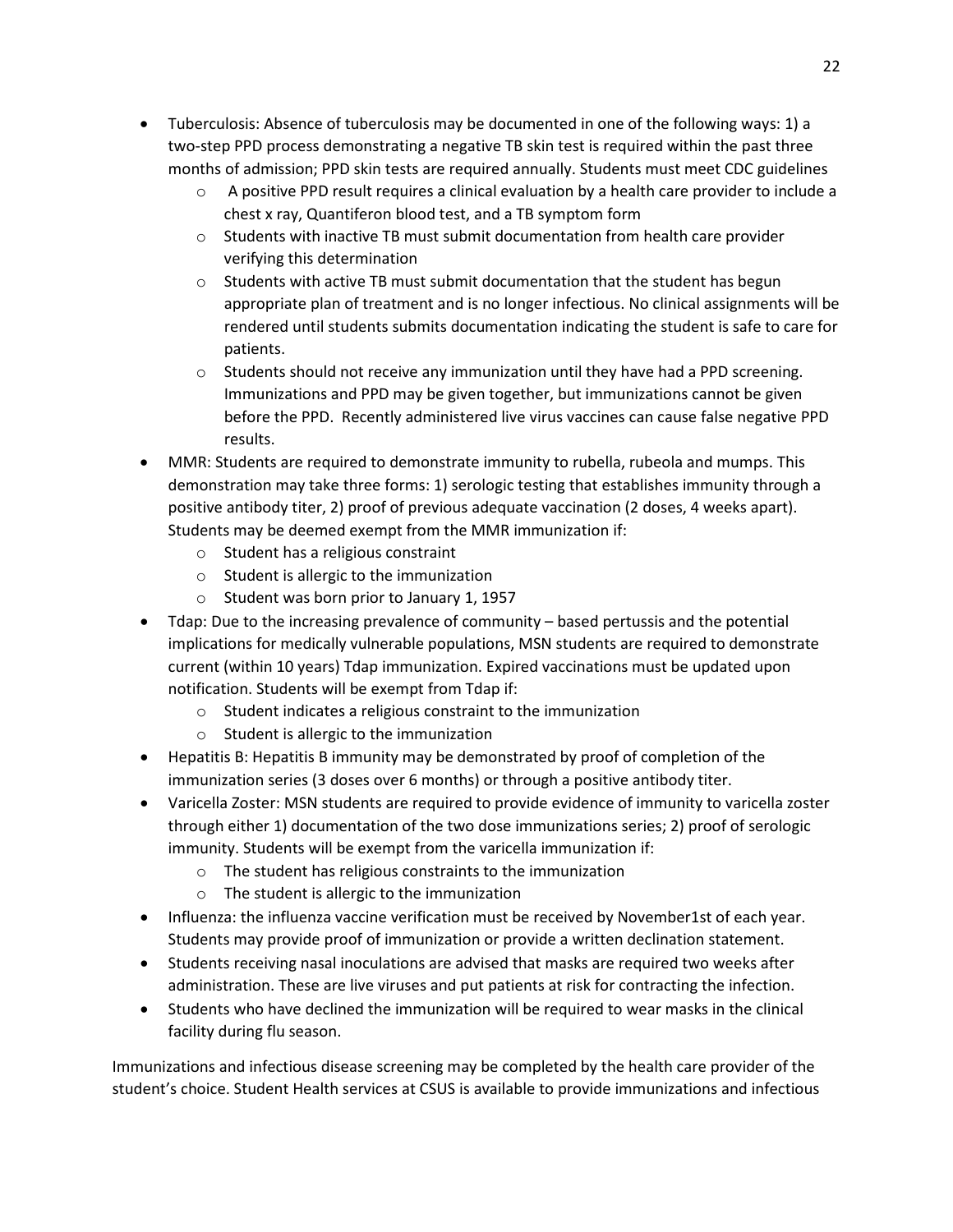- Tuberculosis: Absence of tuberculosis may be documented in one of the following ways: 1) a two-step PPD process demonstrating a negative TB skin test is required within the past three months of admission; PPD skin tests are required annually. Students must meet CDC guidelines
	- $\circ$  A positive PPD result requires a clinical evaluation by a health care provider to include a chest x ray, Quantiferon blood test, and a TB symptom form
	- $\circ$  Students with inactive TB must submit documentation from health care provider verifying this determination
	- $\circ$  Students with active TB must submit documentation that the student has begun appropriate plan of treatment and is no longer infectious. No clinical assignments will be rendered until students submits documentation indicating the student is safe to care for patients.
	- $\circ$  Students should not receive any immunization until they have had a PPD screening. Immunizations and PPD may be given together, but immunizations cannot be given before the PPD. Recently administered live virus vaccines can cause false negative PPD results.
- MMR: Students are required to demonstrate immunity to rubella, rubeola and mumps. This demonstration may take three forms: 1) serologic testing that establishes immunity through a positive antibody titer, 2) proof of previous adequate vaccination (2 doses, 4 weeks apart). Students may be deemed exempt from the MMR immunization if:
	- o Student has a religious constraint
	- o Student is allergic to the immunization
	- o Student was born prior to January 1, 1957
- Tdap: Due to the increasing prevalence of community based pertussis and the potential implications for medically vulnerable populations, MSN students are required to demonstrate current (within 10 years) Tdap immunization. Expired vaccinations must be updated upon notification. Students will be exempt from Tdap if:
	- o Student indicates a religious constraint to the immunization
	- o Student is allergic to the immunization
- Hepatitis B: Hepatitis B immunity may be demonstrated by proof of completion of the immunization series (3 doses over 6 months) or through a positive antibody titer.
- Varicella Zoster: MSN students are required to provide evidence of immunity to varicella zoster through either 1) documentation of the two dose immunizations series; 2) proof of serologic immunity. Students will be exempt from the varicella immunization if:
	- o The student has religious constraints to the immunization
	- o The student is allergic to the immunization
- Influenza: the influenza vaccine verification must be received by November1st of each year. Students may provide proof of immunization or provide a written declination statement.
- Students receiving nasal inoculations are advised that masks are required two weeks after administration. These are live viruses and put patients at risk for contracting the infection.
- Students who have declined the immunization will be required to wear masks in the clinical facility during flu season.

Immunizations and infectious disease screening may be completed by the health care provider of the student's choice. Student Health services at CSUS is available to provide immunizations and infectious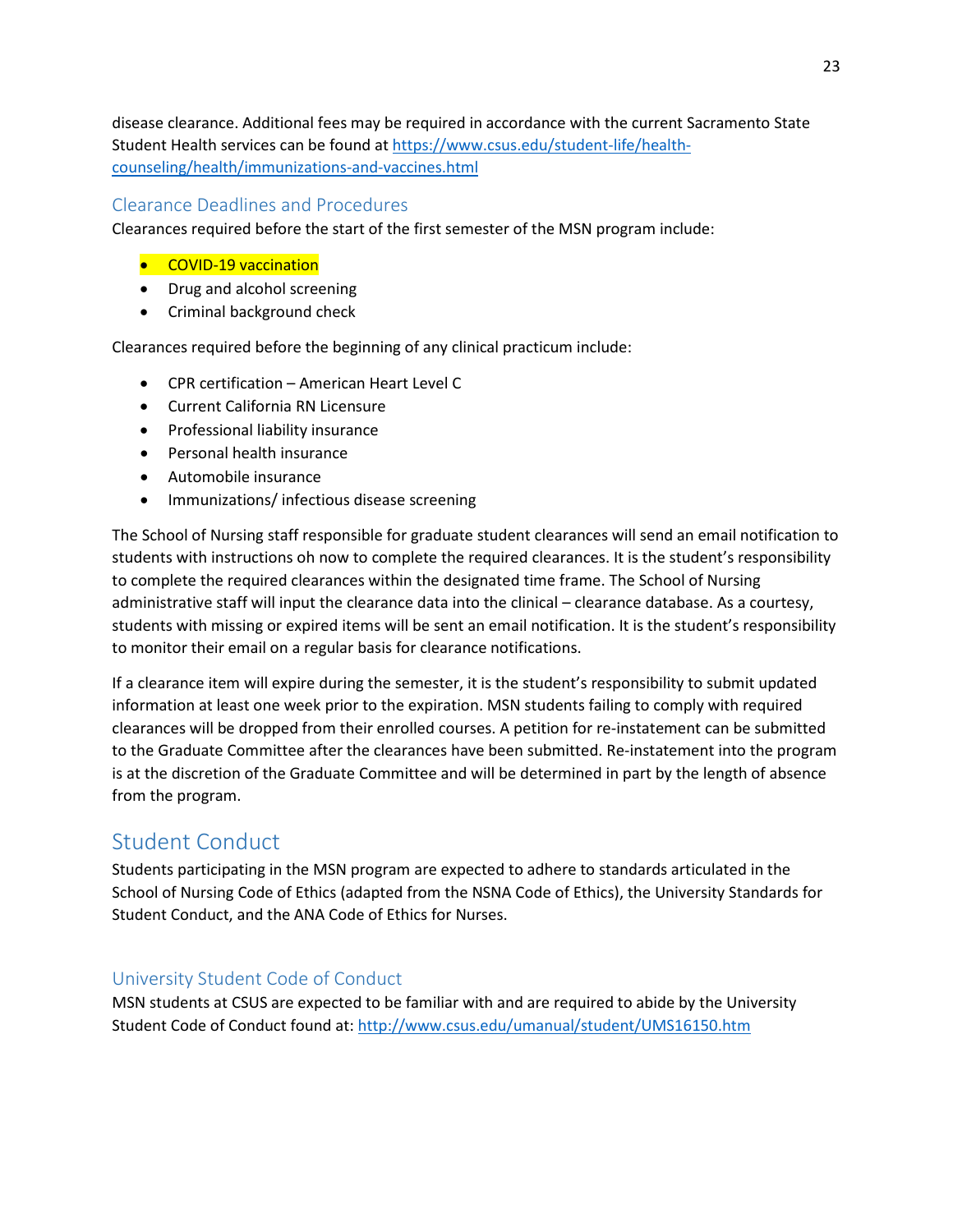disease clearance. Additional fees may be required in accordance with the current Sacramento State Student Health services can be found at https://www.csus.edu/student-life/healthcounseling/health/immunizations-and-vaccines.html

#### <span id="page-22-0"></span>Clearance Deadlines and Procedures

Clearances required before the start of the first semester of the MSN program include:

- **•** COVID-19 vaccination
- Drug and alcohol screening
- Criminal background check

Clearances required before the beginning of any clinical practicum include:

- CPR certification American Heart Level C
- Current California RN Licensure
- Professional liability insurance
- Personal health insurance
- Automobile insurance
- Immunizations/ infectious disease screening

The School of Nursing staff responsible for graduate student clearances will send an email notification to students with instructions oh now to complete the required clearances. It is the student's responsibility to complete the required clearances within the designated time frame. The School of Nursing administrative staff will input the clearance data into the clinical – clearance database. As a courtesy, students with missing or expired items will be sent an email notification. It is the student's responsibility to monitor their email on a regular basis for clearance notifications.

If a clearance item will expire during the semester, it is the student's responsibility to submit updated information at least one week prior to the expiration. MSN students failing to comply with required clearances will be dropped from their enrolled courses. A petition for re-instatement can be submitted to the Graduate Committee after the clearances have been submitted. Re-instatement into the program is at the discretion of the Graduate Committee and will be determined in part by the length of absence from the program.

## <span id="page-22-1"></span>Student Conduct

Students participating in the MSN program are expected to adhere to standards articulated in the School of Nursing Code of Ethics (adapted from the NSNA Code of Ethics), the University Standards for Student Conduct, and the ANA Code of Ethics for Nurses.

#### <span id="page-22-2"></span>University Student Code of Conduct

MSN students at CSUS are expected to be familiar with and are required to abide by the University Student Code of Conduct found at:<http://www.csus.edu/umanual/student/UMS16150.htm>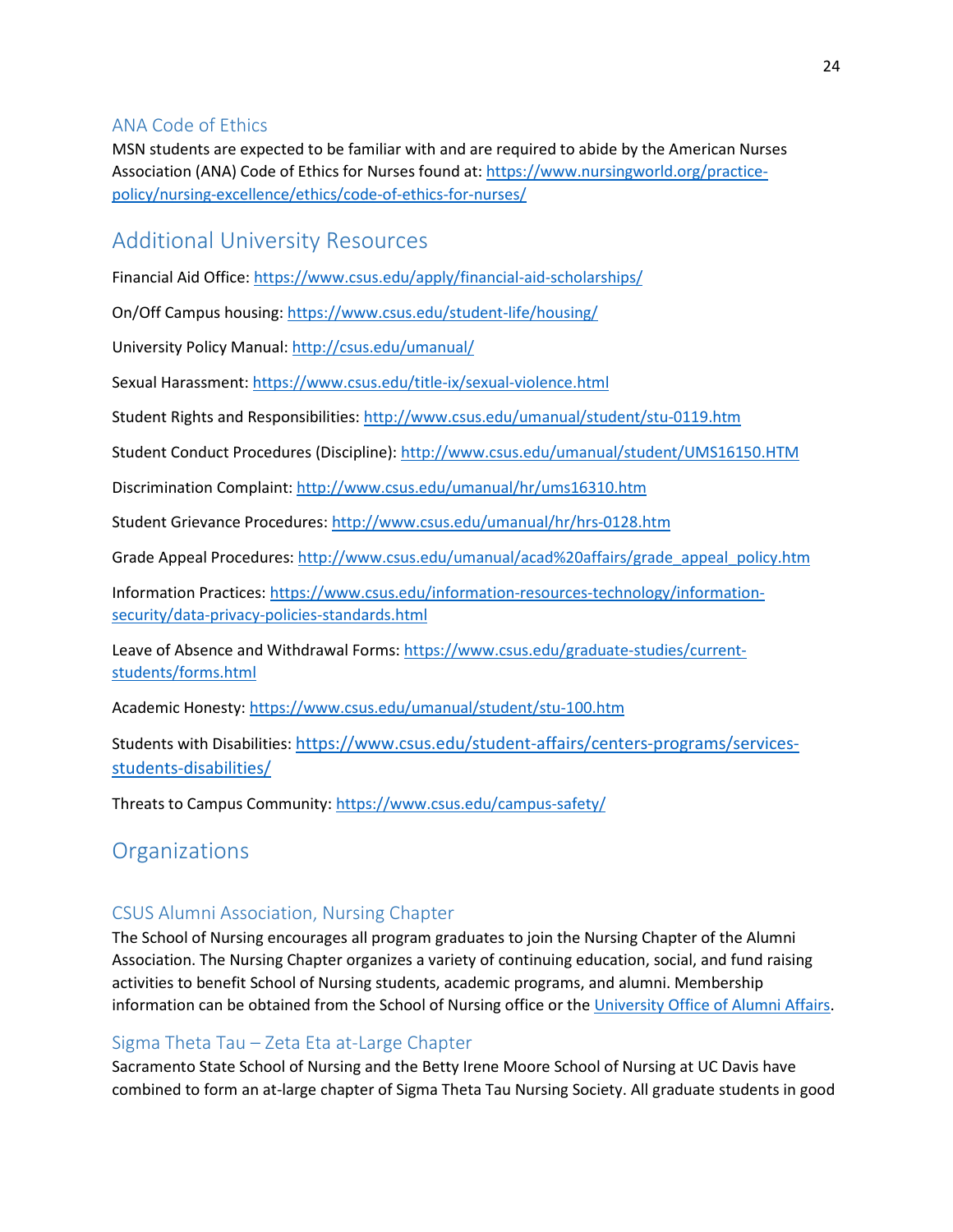#### <span id="page-23-0"></span>ANA Code of Ethics

MSN students are expected to be familiar with and are required to abide by the American Nurses Association (ANA) Code of Ethics for Nurses found at: https://www.nursingworld.org/practicepolicy/nursing-excellence/ethics/code-of-ethics-for-nurses/

## <span id="page-23-1"></span>Additional University Resources

<span id="page-23-2"></span>Financial Aid Office:<https://www.csus.edu/apply/financial-aid-scholarships/>

On/Off Campus housing[: https://www.csus.edu/student-life/housing/](https://www.csus.edu/student-life/housing/)

University Policy Manual[: http://csus.edu/umanual/](http://csus.edu/umanual/)

Sexual Harassment:<https://www.csus.edu/title-ix/sexual-violence.html>

Student Rights and Responsibilities[: http://www.csus.edu/umanual/student/stu-0119.htm](http://www.csus.edu/umanual/student/stu-0119.htm)

Student Conduct Procedures (Discipline)[: http://www.csus.edu/umanual/student/UMS16150.HTM](http://www.csus.edu/umanual/student/UMS16150.HTM)

Discrimination Complaint[: http://www.csus.edu/umanual/hr/ums16310.htm](http://www.csus.edu/umanual/hr/ums16310.htm)

Student Grievance Procedures:<http://www.csus.edu/umanual/hr/hrs-0128.htm>

Grade Appeal Procedures[: http://www.csus.edu/umanual/acad%20affairs/grade\\_appeal\\_policy.htm](http://www.csus.edu/umanual/acad%20affairs/grade_appeal_policy.htm)

Information Practices: [https://www.csus.edu/information-resources-technology/information](https://www.csus.edu/information-resources-technology/information-security/data-privacy-policies-standards.html)[security/data-privacy-policies-standards.html](https://www.csus.edu/information-resources-technology/information-security/data-privacy-policies-standards.html)

Leave of Absence and Withdrawal Forms: [https://www.csus.edu/graduate-studies/current](https://www.csus.edu/graduate-studies/current-students/forms.html)[students/forms.html](https://www.csus.edu/graduate-studies/current-students/forms.html)

Academic Honesty:<https://www.csus.edu/umanual/student/stu-100.htm>

Students with Disabilities: [https://www.csus.edu/student-affairs/centers-programs/services](https://t.e2ma.net/click/pv7naf/dylr4s/hd8pjab)[students-disabilities/](https://t.e2ma.net/click/pv7naf/dylr4s/hd8pjab)

Threats to Campus Community:<https://www.csus.edu/campus-safety/>

## **Organizations**

#### <span id="page-23-3"></span>CSUS Alumni Association, Nursing Chapter

The School of Nursing encourages all program graduates to join the Nursing Chapter of the Alumni Association. The Nursing Chapter organizes a variety of continuing education, social, and fund raising activities to benefit School of Nursing students, academic programs, and alumni. Membership information can be obtained from the School of Nursing office or th[e University Office of Alumni Affairs.](http://www.csus.edu/org/nursingalumni/)

#### <span id="page-23-4"></span>Sigma Theta Tau – Zeta Eta at-Large Chapter

Sacramento State School of Nursing and the Betty Irene Moore School of Nursing at UC Davis have combined to form an at-large chapter of Sigma Theta Tau Nursing Society. All graduate students in good